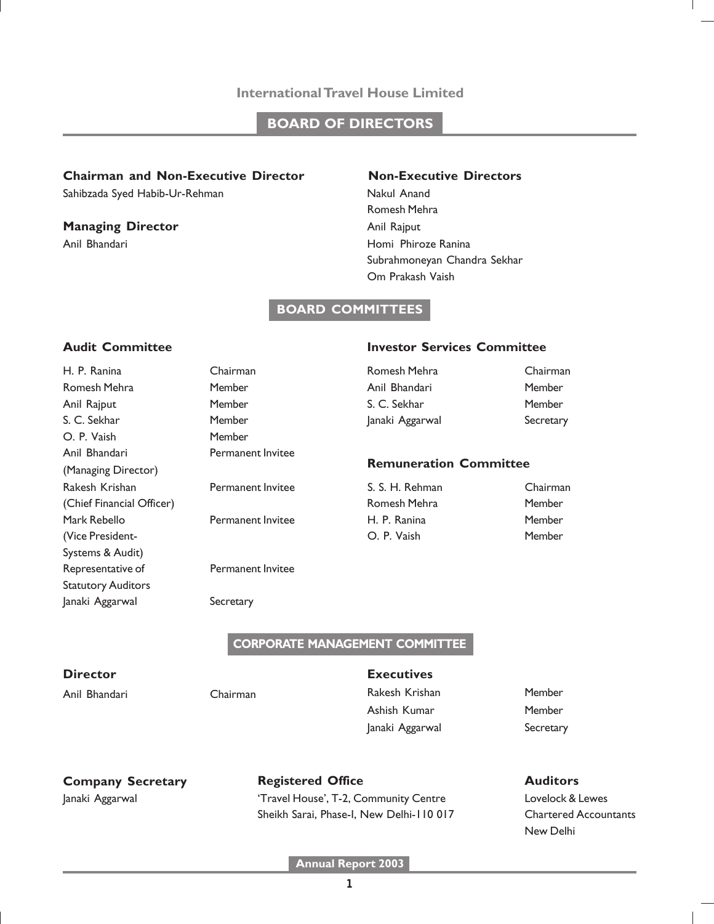# BOARD OF DIRECTORS

#### Chairman and Non-Executive Director Non-Executive Directors

Sahibzada Syed Habib-Ur-Rehman Nakul Anand

# **Managing Director Anil Rajput Managing Director**

Romesh Mehra Anil Bhandari **Homi Phiroze Ranina** Homi Phiroze Ranina Subrahmoneyan Chandra Sekhar Om Prakash Vaish

# BOARD COMMITTEES

O. P. Vaish Member Anil Bhandari Permanent Invitee (Managing Director) Rakesh Krishan Permanent Invitee S. S. H. Rehman Chairman (Chief Financial Officer) The Chief Entertainment of the Romesh Mehra Member Mark Rebello **Permanent Invitee** H. P. Ranina Member (Vice President- O. P. Vaish Member Systems & Audit) Representative of **Permanent Invitee** Statutory Auditors Janaki Aggarwal Secretary

### Audit Committee **Investor Services Committee**

H. P. Ranina Chairman Romesh Mehra Chairman Romesh Mehra **Member** Member **Anil Bhandari** Member Anim Anil Bhandari Member Anil Rajput Member Member S. C. Sekhar Member S. C. Sekhar **Member** Member **Janaki Aggarwal** Secretary

#### Remuneration Committee

### CORPORATE MANAGEMENT COMMITTEE

#### **Director**

Anil Bhandari Chairman

# **Executives**

Rakesh Krishan Member Ashish Kumar Member Janaki Aggarwal Secretary

Company Secretary

Janaki Aggarwal

Registered Office 'Travel House', T-2, Community Centre Sheikh Sarai, Phase-I, New Delhi-110 017

# **Auditors** Lovelock & Lewes Chartered Accountants New Delhi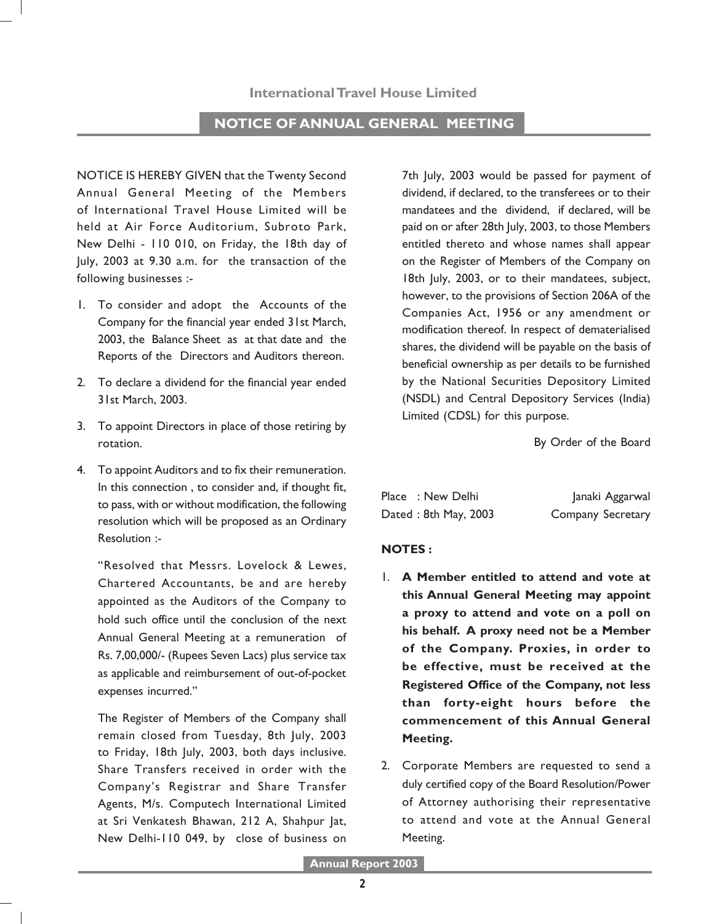# NOTICE OF ANNUAL GENERAL MEETING

NOTICE IS HEREBY GIVEN that the Twenty Second Annual General Meeting of the Members of International Travel House Limited will be held at Air Force Auditorium, Subroto Park, New Delhi - 110 010, on Friday, the 18th day of July, 2003 at 9.30 a.m. for the transaction of the following businesses :-

- 1. To consider and adopt the Accounts of the Company for the financial year ended 31st March, 2003, the Balance Sheet as at that date and the Reports of the Directors and Auditors thereon.
- 2. To declare a dividend for the financial year ended 31st March, 2003.
- 3. To appoint Directors in place of those retiring by rotation.
- 4. To appoint Auditors and to fix their remuneration. In this connection, to consider and, if thought fit, to pass, with or without modification, the following resolution which will be proposed as an Ordinary Resolution :-

"Resolved that Messrs. Lovelock & Lewes, Chartered Accountants, be and are hereby appointed as the Auditors of the Company to hold such office until the conclusion of the next Annual General Meeting at a remuneration of Rs. 7,00,000/- (Rupees Seven Lacs) plus service tax as applicable and reimbursement of out-of-pocket expenses incurred."

The Register of Members of the Company shall remain closed from Tuesday, 8th July, 2003 to Friday, 18th July, 2003, both days inclusive. Share Transfers received in order with the Companyís Registrar and Share Transfer Agents, M/s. Computech International Limited at Sri Venkatesh Bhawan, 212 A, Shahpur Jat, New Delhi-110 049, by close of business on

7th July, 2003 would be passed for payment of dividend, if declared, to the transferees or to their mandatees and the dividend, if declared, will be paid on or after 28th July, 2003, to those Members entitled thereto and whose names shall appear on the Register of Members of the Company on 18th July, 2003, or to their mandatees, subject, however, to the provisions of Section 206A of the Companies Act, 1956 or any amendment or modification thereof. In respect of dematerialised shares, the dividend will be payable on the basis of beneficial ownership as per details to be furnished by the National Securities Depository Limited (NSDL) and Central Depository Services (India) Limited (CDSL) for this purpose.

By Order of the Board

| Place : New Delhi    | Janaki Aggarwal   |
|----------------------|-------------------|
| Dated: 8th May, 2003 | Company Secretary |

#### NOTES :

- 1. A Member entitled to attend and vote at this Annual General Meeting may appoint a proxy to attend and vote on a poll on his behalf. A proxy need not be a Member of the Company. Proxies, in order to be effective, must be received at the Registered Office of the Company, not less than forty-eight hours before the commencement of this Annual General Meeting.
- 2. Corporate Members are requested to send a duly certified copy of the Board Resolution/Power of Attorney authorising their representative to attend and vote at the Annual General Meeting.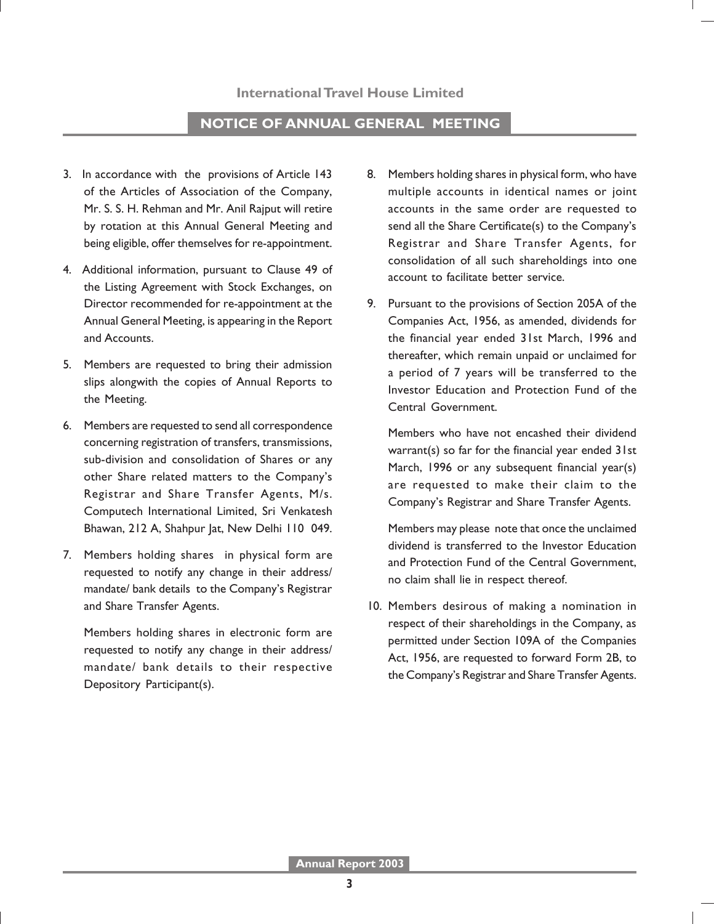# NOTICE OF ANNUAL GENERAL MEETING

- 3. In accordance with the provisions of Article 143 of the Articles of Association of the Company, Mr. S. S. H. Rehman and Mr. Anil Rajput will retire by rotation at this Annual General Meeting and being eligible, offer themselves for re-appointment.
- 4. Additional information, pursuant to Clause 49 of the Listing Agreement with Stock Exchanges, on Director recommended for re-appointment at the Annual General Meeting, is appearing in the Report and Accounts.
- 5. Members are requested to bring their admission slips alongwith the copies of Annual Reports to the Meeting.
- 6. Members are requested to send all correspondence concerning registration of transfers, transmissions, sub-division and consolidation of Shares or any other Share related matters to the Company's Registrar and Share Transfer Agents, M/s. Computech International Limited, Sri Venkatesh Bhawan, 212 A, Shahpur Jat, New Delhi 110 049.
- 7. Members holding shares in physical form are requested to notify any change in their address/ mandate/ bank details to the Company's Registrar and Share Transfer Agents.

Members holding shares in electronic form are requested to notify any change in their address/ mandate/ bank details to their respective Depository Participant(s).

- 8. Members holding shares in physical form, who have multiple accounts in identical names or joint accounts in the same order are requested to send all the Share Certificate(s) to the Company's Registrar and Share Transfer Agents, for consolidation of all such shareholdings into one account to facilitate better service.
- 9. Pursuant to the provisions of Section 205A of the Companies Act, 1956, as amended, dividends for the financial year ended 31st March, 1996 and thereafter, which remain unpaid or unclaimed for a period of 7 years will be transferred to the Investor Education and Protection Fund of the Central Government.

Members who have not encashed their dividend warrant(s) so far for the financial year ended 31st March, 1996 or any subsequent financial year(s) are requested to make their claim to the Companyís Registrar and Share Transfer Agents.

Members may please note that once the unclaimed dividend is transferred to the Investor Education and Protection Fund of the Central Government, no claim shall lie in respect thereof.

10. Members desirous of making a nomination in respect of their shareholdings in the Company, as permitted under Section 109A of the Companies Act, 1956, are requested to forward Form 2B, to the Company's Registrar and Share Transfer Agents.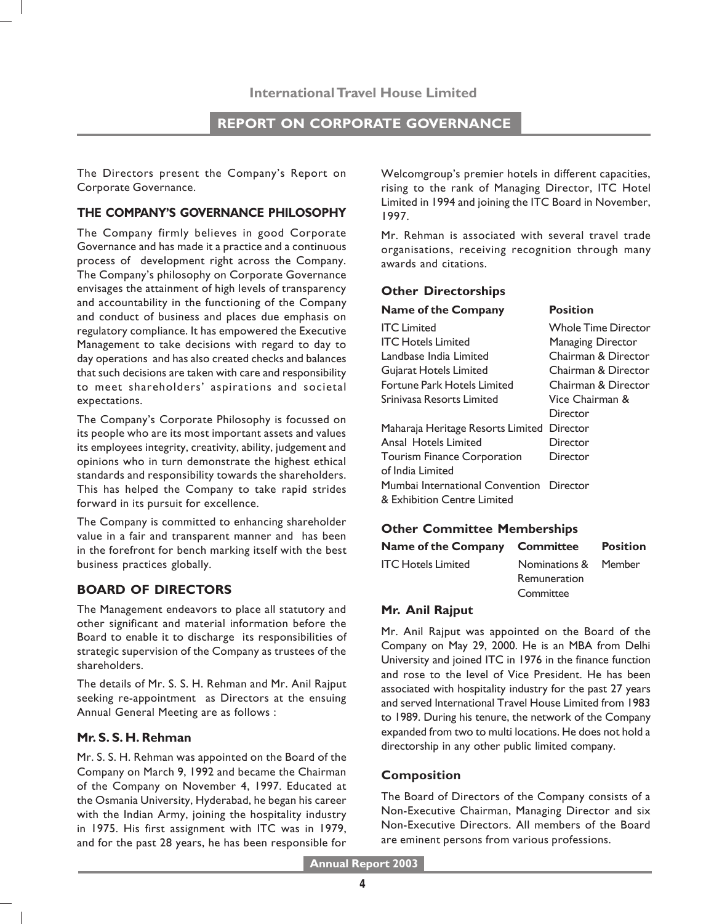The Directors present the Company's Report on Corporate Governance.

# THE COMPANY'S GOVERNANCE PHILOSOPHY

The Company firmly believes in good Corporate Governance and has made it a practice and a continuous process of development right across the Company. The Company's philosophy on Corporate Governance envisages the attainment of high levels of transparency and accountability in the functioning of the Company and conduct of business and places due emphasis on regulatory compliance. It has empowered the Executive Management to take decisions with regard to day to day operations and has also created checks and balances that such decisions are taken with care and responsibility to meet shareholders' aspirations and societal expectations.

The Company's Corporate Philosophy is focussed on its people who are its most important assets and values its employees integrity, creativity, ability, judgement and opinions who in turn demonstrate the highest ethical standards and responsibility towards the shareholders. This has helped the Company to take rapid strides forward in its pursuit for excellence.

The Company is committed to enhancing shareholder value in a fair and transparent manner and has been in the forefront for bench marking itself with the best business practices globally.

# BOARD OF DIRECTORS

The Management endeavors to place all statutory and other significant and material information before the Board to enable it to discharge its responsibilities of strategic supervision of the Company as trustees of the shareholders.

The details of Mr. S. S. H. Rehman and Mr. Anil Rajput seeking re-appointment as Directors at the ensuing Annual General Meeting are as follows :

# Mr. S. S. H. Rehman

Mr. S. S. H. Rehman was appointed on the Board of the Company on March 9, 1992 and became the Chairman of the Company on November 4, 1997. Educated at the Osmania University, Hyderabad, he began his career with the Indian Army, joining the hospitality industry in 1975. His first assignment with ITC was in 1979, and for the past 28 years, he has been responsible for

Welcomgroup's premier hotels in different capacities, rising to the rank of Managing Director, ITC Hotel Limited in 1994 and joining the ITC Board in November, 1997.

Mr. Rehman is associated with several travel trade organisations, receiving recognition through many awards and citations.

### Other Directorships

| <b>Name of the Company</b>               | <b>Position</b>            |
|------------------------------------------|----------------------------|
| <b>ITC</b> Limited                       | <b>Whole Time Director</b> |
| <b>ITC Hotels Limited</b>                | <b>Managing Director</b>   |
| Landbase India Limited                   | Chairman & Director        |
| Gujarat Hotels Limited                   | Chairman & Director        |
| <b>Fortune Park Hotels Limited</b>       | Chairman & Director        |
| Sriniyasa Resorts Limited                | Vice Chairman &            |
|                                          | Director                   |
| Maharaja Heritage Resorts Limited        | Director                   |
| Ansal Hotels Limited                     | Director                   |
| <b>Tourism Finance Corporation</b>       | Director                   |
| of India Limited                         |                            |
| Mumbai International Convention Director |                            |
| & Exhibition Centre Limited              |                            |

# Other Committee Memberships

| Name of the Company Committee |                      | <b>Position</b> |
|-------------------------------|----------------------|-----------------|
| <b>ITC Hotels Limited</b>     | Nominations & Member |                 |
|                               | Remuneration         |                 |
|                               | Committee            |                 |
|                               |                      |                 |

### Mr. Anil Rajput

Mr. Anil Rajput was appointed on the Board of the Company on May 29, 2000. He is an MBA from Delhi University and joined ITC in 1976 in the finance function and rose to the level of Vice President. He has been associated with hospitality industry for the past 27 years and served International Travel House Limited from 1983 to 1989. During his tenure, the network of the Company expanded from two to multi locations. He does not hold a directorship in any other public limited company.

# Composition

The Board of Directors of the Company consists of a Non-Executive Chairman, Managing Director and six Non-Executive Directors. All members of the Board are eminent persons from various professions.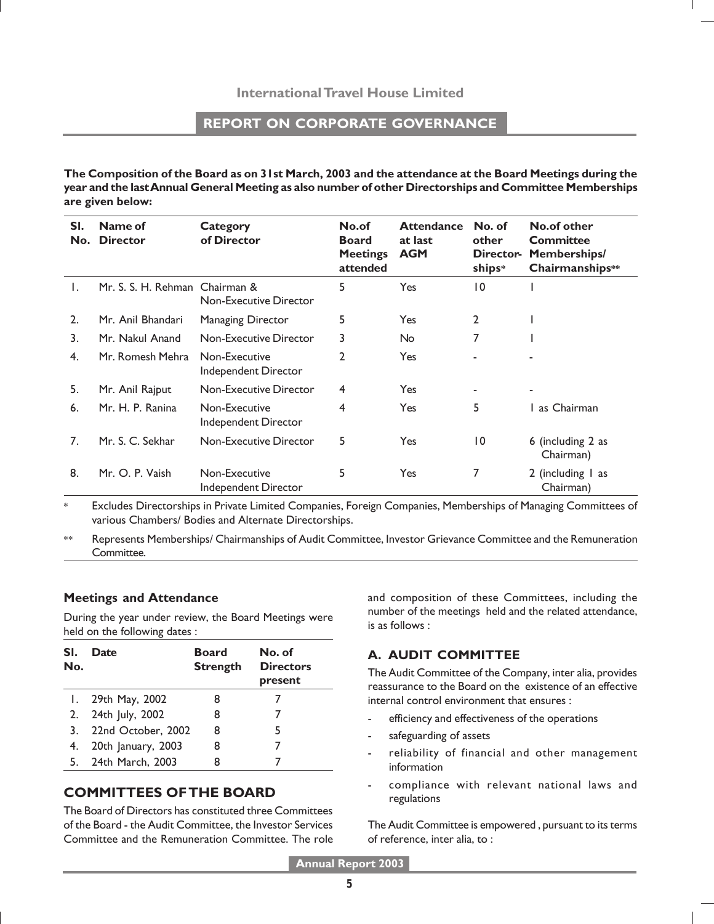The Composition of the Board as on 31st March, 2003 and the attendance at the Board Meetings during the year and the lastAnnual General Meeting as also number of other Directorships and Committee Memberships are given below:

| SI.<br>No. | Name of<br><b>Director</b>     | Category<br>of Director               | No.of<br><b>Board</b><br><b>Meetings</b><br>attended | <b>Attendance</b><br>at last<br><b>AGM</b> | No. of<br>other<br>Director-<br>ships* | No.of other<br><b>Committee</b><br><b>Memberships/</b><br>Chairmanships** |
|------------|--------------------------------|---------------------------------------|------------------------------------------------------|--------------------------------------------|----------------------------------------|---------------------------------------------------------------------------|
| Ι.         | Mr. S. S. H. Rehman Chairman & | Non-Executive Director                | 5                                                    | Yes                                        | $\overline{0}$                         |                                                                           |
| 2.         | Mr. Anil Bhandari              | <b>Managing Director</b>              | 5                                                    | <b>Yes</b>                                 | 2                                      |                                                                           |
| 3.         | Mr. Nakul Anand                | Non-Executive Director                | 3                                                    | N <sub>o</sub>                             | 7                                      |                                                                           |
| 4.         | Mr. Romesh Mehra               | Non-Executive<br>Independent Director | 2                                                    | <b>Yes</b>                                 |                                        |                                                                           |
| 5.         | Mr. Anil Rajput                | Non-Executive Director                | 4                                                    | Yes                                        | $\qquad \qquad \blacksquare$           | $\overline{\phantom{a}}$                                                  |
| 6.         | Mr. H. P. Ranina               | Non-Executive<br>Independent Director | 4                                                    | Yes                                        | 5                                      | 1 as Chairman                                                             |
| 7.         | Mr. S. C. Sekhar               | Non-Executive Director                | 5                                                    | Yes                                        | $\overline{0}$                         | 6 (including 2 as<br>Chairman)                                            |
| 8.         | Mr. O. P. Vaish                | Non-Executive<br>Independent Director | 5                                                    | Yes                                        | 7                                      | 2 (including $\vert$ as<br>Chairman)                                      |

Excludes Directorships in Private Limited Companies, Foreign Companies, Memberships of Managing Committees of various Chambers/ Bodies and Alternate Directorships.

\*\* Represents Memberships/ Chairmanships of Audit Committee, Investor Grievance Committee and the Remuneration Committee.

#### Meetings and Attendance

During the year under review, the Board Meetings were held on the following dates :

| SI.<br>No. | Date                  | <b>Board</b><br>Strength | No. of<br><b>Directors</b><br>present |
|------------|-----------------------|--------------------------|---------------------------------------|
|            | 1. $29th$ May, 2002   | 8                        |                                       |
|            | 2. 24th July, 2002    | 8                        |                                       |
|            | 3. 22nd October, 2002 | 8                        | 5                                     |
|            | 4. 20th January, 2003 | 8                        |                                       |
|            | 5. 24th March, 2003   | 8                        |                                       |
|            |                       |                          |                                       |

# COMMITTEES OFTHE BOARD

The Board of Directors has constituted three Committees of the Board - the Audit Committee, the Investor Services Committee and the Remuneration Committee. The role and composition of these Committees, including the number of the meetings held and the related attendance, is as follows :

# A. AUDIT COMMITTEE

The Audit Committee of the Company, inter alia, provides reassurance to the Board on the existence of an effective internal control environment that ensures :

- efficiency and effectiveness of the operations
- safeguarding of assets
- reliability of financial and other management information
- compliance with relevant national laws and regulations

The Audit Committee is empowered , pursuant to its terms of reference, inter alia, to :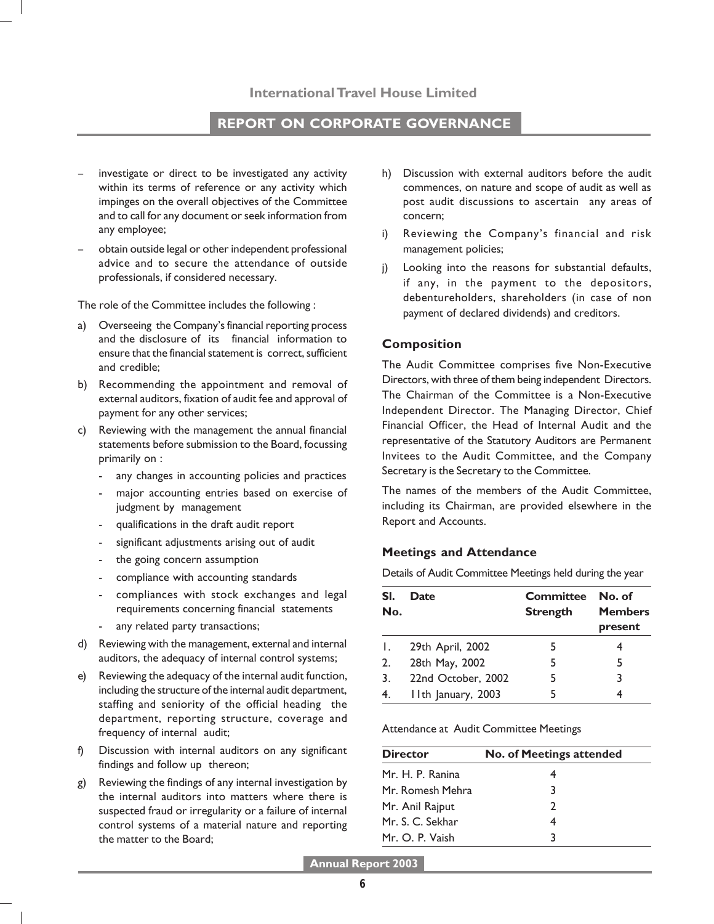- investigate or direct to be investigated any activity within its terms of reference or any activity which impinges on the overall objectives of the Committee and to call for any document or seek information from any employee;
- obtain outside legal or other independent professional advice and to secure the attendance of outside professionals, if considered necessary.

The role of the Committee includes the following :

- a) Overseeing the Company's financial reporting process and the disclosure of its financial information to ensure that the financial statement is correct, sufficient and credible;
- b) Recommending the appointment and removal of external auditors, fixation of audit fee and approval of payment for any other services;
- c) Reviewing with the management the annual financial statements before submission to the Board, focussing primarily on :
	- any changes in accounting policies and practices
	- major accounting entries based on exercise of judgment by management
	- qualifications in the draft audit report
	- significant adjustments arising out of audit
	- the going concern assumption
	- compliance with accounting standards
	- compliances with stock exchanges and legal requirements concerning financial statements
	- any related party transactions;
- d) Reviewing with the management, external and internal auditors, the adequacy of internal control systems;
- e) Reviewing the adequacy of the internal audit function, including the structure of the internal audit department, staffing and seniority of the official heading the department, reporting structure, coverage and frequency of internal audit;
- f) Discussion with internal auditors on any significant findings and follow up thereon;
- g) Reviewing the findings of any internal investigation by the internal auditors into matters where there is suspected fraud or irregularity or a failure of internal control systems of a material nature and reporting the matter to the Board;
- h) Discussion with external auditors before the audit commences, on nature and scope of audit as well as post audit discussions to ascertain any areas of concern;
- i) Reviewing the Company's financial and risk management policies;
- j) Looking into the reasons for substantial defaults, if any, in the payment to the depositors, debentureholders, shareholders (in case of non payment of declared dividends) and creditors.

#### Composition

The Audit Committee comprises five Non-Executive Directors, with three of them being independent Directors. The Chairman of the Committee is a Non-Executive Independent Director. The Managing Director, Chief Financial Officer, the Head of Internal Audit and the representative of the Statutory Auditors are Permanent Invitees to the Audit Committee, and the Company Secretary is the Secretary to the Committee.

The names of the members of the Audit Committee, including its Chairman, are provided elsewhere in the Report and Accounts.

#### Meetings and Attendance

Details of Audit Committee Meetings held during the year

| SI.<br>No. | <b>Date</b>        | <b>Committee</b> | No. of<br><b>Members</b> |
|------------|--------------------|------------------|--------------------------|
|            |                    | <b>Strength</b>  | present                  |
|            | 29th April, 2002   | 5                |                          |
| 2.         | 28th May, 2002     | 5                | 5                        |
| 3.         | 22nd October, 2002 | 5                | 3                        |
| 4.         | 11th January, 2003 |                  |                          |

#### Attendance at Audit Committee Meetings

| <b>Director</b>  | <b>No. of Meetings attended</b> |  |
|------------------|---------------------------------|--|
| Mr. H. P. Ranina |                                 |  |
| Mr. Romesh Mehra | 3                               |  |
| Mr. Anil Rajput  | 2                               |  |
| Mr. S. C. Sekhar |                                 |  |
| Mr. O. P. Vaish  | २                               |  |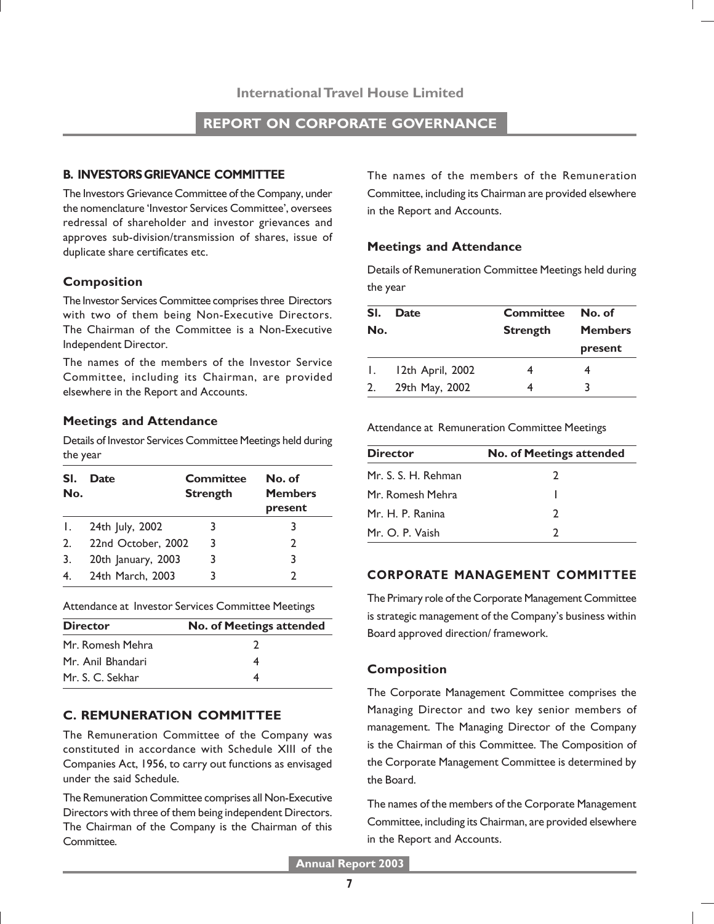### B. INVESTORSGRIEVANCE COMMITTEE

The Investors Grievance Committee of the Company, under the nomenclature 'Investor Services Committee', oversees redressal of shareholder and investor grievances and approves sub-division/transmission of shares, issue of duplicate share certificates etc.

# Composition

The Investor Services Committee comprises three Directors with two of them being Non-Executive Directors. The Chairman of the Committee is a Non-Executive Independent Director.

The names of the members of the Investor Service Committee, including its Chairman, are provided elsewhere in the Report and Accounts.

#### Meetings and Attendance

Details of Investor Services Committee Meetings held during the year

| SI.<br>No.     | <b>Date</b>        | <b>Committee</b><br><b>Strength</b> | No. of<br><b>Members</b><br>present |
|----------------|--------------------|-------------------------------------|-------------------------------------|
| $\mathbf{I}$ . | 24th July, 2002    |                                     |                                     |
| 2.             | 22nd October, 2002 | 3                                   | 2                                   |
| 3.             | 20th January, 2003 |                                     | 3                                   |
| 4.             | 24th March, 2003   |                                     |                                     |

Attendance at Investor Services Committee Meetings

| <b>Director</b>   | <b>No. of Meetings attended</b> |
|-------------------|---------------------------------|
| Mr. Romesh Mehra  |                                 |
| Mr. Anil Bhandari |                                 |
| Mr. S. C. Sekhar  |                                 |

# C. REMUNERATION COMMITTEE

The Remuneration Committee of the Company was constituted in accordance with Schedule XIII of the Companies Act, 1956, to carry out functions as envisaged under the said Schedule.

The Remuneration Committee comprises all Non-Executive Directors with three of them being independent Directors. The Chairman of the Company is the Chairman of this Committee.

The names of the members of the Remuneration Committee, including its Chairman are provided elsewhere in the Report and Accounts.

### Meetings and Attendance

Details of Remuneration Committee Meetings held during the year

| SI.          | <b>Date</b>      | <b>Committee</b> | No. of         |
|--------------|------------------|------------------|----------------|
| No.          |                  | <b>Strength</b>  | <b>Members</b> |
|              |                  |                  | present        |
| $\mathbf{L}$ | 12th April, 2002 |                  |                |
| 2.           | 29th May, 2002   |                  |                |

Attendance at Remuneration Committee Meetings

| <b>Director</b>     | <b>No. of Meetings attended</b> |
|---------------------|---------------------------------|
| Mr. S. S. H. Rehman | 2                               |
| Mr. Romesh Mehra    |                                 |
| Mr. H. P. Ranina    | 2                               |
| Mr. O. P. Vaish     |                                 |

### CORPORATE MANAGEMENT COMMITTEE

The Primary role of the Corporate Management Committee is strategic management of the Company's business within Board approved direction/ framework.

### Composition

The Corporate Management Committee comprises the Managing Director and two key senior members of management. The Managing Director of the Company is the Chairman of this Committee. The Composition of the Corporate Management Committee is determined by the Board.

The names of the members of the Corporate Management Committee, including its Chairman, are provided elsewhere in the Report and Accounts.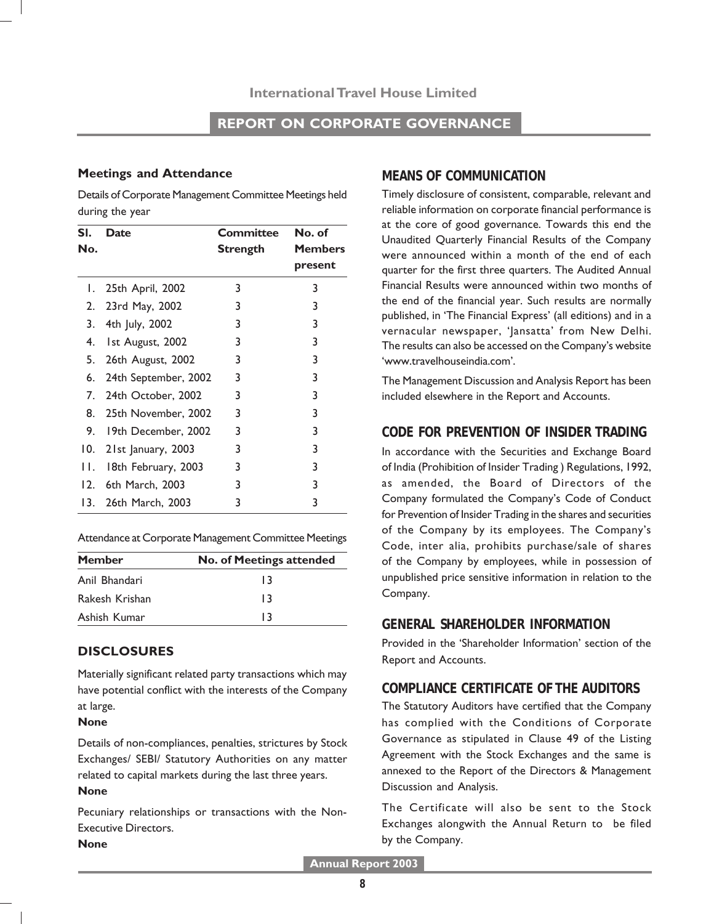#### Meetings and Attendance

Details of Corporate Management Committee Meetings held during the year

| SI. | Date                   | <b>Committee</b> | No. of         |
|-----|------------------------|------------------|----------------|
| No. |                        | <b>Strength</b>  | <b>Members</b> |
|     |                        |                  | present        |
| Ι.  | 25th April, 2002       | 3                | 3              |
| 2.  | 23rd May, 2002         | 3                | 3              |
| 3.  | 4th July, 2002         | 3                | 3              |
| 4.  | 1st August, 2002       | 3                | 3              |
| 5.  | 26th August, 2002      | 3                | 3              |
| 6.  | 24th September, 2002   | 3                | 3              |
| 7.  | 24th October, 2002     | 3                | 3              |
| 8.  | 25th November, 2002    | 3                | 3              |
|     | 9. 19th December, 2002 | 3                | 3              |
| 10. | 21st January, 2003     | 3                | 3              |
| Н.  | 18th February, 2003    | 3                | 3              |
| 12. | 6th March, 2003        | 3                | 3              |
|     | 13. 26th March, 2003   | 3                | 3              |

Attendance at Corporate Management Committee Meetings

| <b>Member</b>  | <b>No. of Meetings attended</b> |
|----------------|---------------------------------|
| Anil Bhandari  | 13                              |
| Rakesh Krishan | 13                              |
| Ashish Kumar   | 13                              |

#### **DISCLOSURES**

Materially significant related party transactions which may have potential conflict with the interests of the Company at large.

#### None

Details of non-compliances, penalties, strictures by Stock Exchanges/ SEBI/ Statutory Authorities on any matter related to capital markets during the last three years. None

Pecuniary relationships or transactions with the Non-Executive Directors.

#### None

### **MEANS OF COMMUNICATION**

Timely disclosure of consistent, comparable, relevant and reliable information on corporate financial performance is at the core of good governance. Towards this end the Unaudited Quarterly Financial Results of the Company were announced within a month of the end of each quarter for the first three quarters. The Audited Annual Financial Results were announced within two months of the end of the financial year. Such results are normally published, in 'The Financial Express' (all editions) and in a vernacular newspaper, 'Jansatta' from New Delhi. The results can also be accessed on the Company's website ëwww.travelhouseindia.comí.

The Management Discussion and Analysis Report has been included elsewhere in the Report and Accounts.

### **CODE FOR PREVENTION OF INSIDER TRADING**

In accordance with the Securities and Exchange Board of India (Prohibition of Insider Trading ) Regulations, 1992, as amended, the Board of Directors of the Company formulated the Companyís Code of Conduct for Prevention of Insider Trading in the shares and securities of the Company by its employees. The Companyís Code, inter alia, prohibits purchase/sale of shares of the Company by employees, while in possession of unpublished price sensitive information in relation to the Company.

### **GENERAL SHAREHOLDER INFORMATION**

Provided in the 'Shareholder Information' section of the Report and Accounts.

# **COMPLIANCE CERTIFICATE OF THE AUDITORS**

The Statutory Auditors have certified that the Company has complied with the Conditions of Corporate Governance as stipulated in Clause 49 of the Listing Agreement with the Stock Exchanges and the same is annexed to the Report of the Directors & Management Discussion and Analysis.

The Certificate will also be sent to the Stock Exchanges alongwith the Annual Return to be filed by the Company.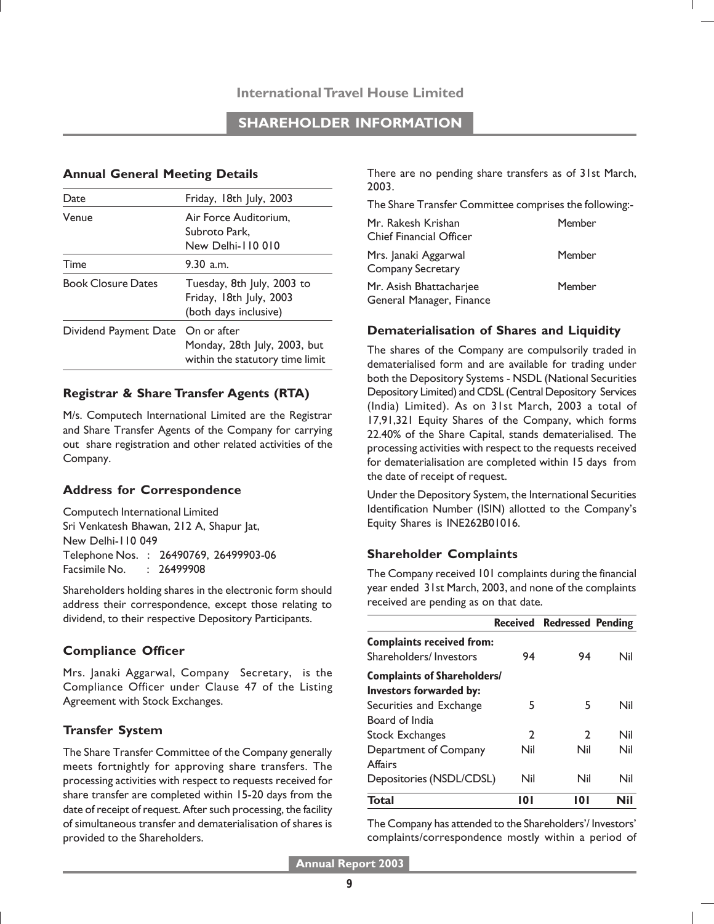# SHAREHOLDER INFORMATION

## Annual General Meeting Details

| Date                      | Friday, 18th July, 2003                                                        |
|---------------------------|--------------------------------------------------------------------------------|
| Venue                     | Air Force Auditorium.<br>Subroto Park.<br>New Delhi-110 010                    |
| Time                      | $9.30$ a.m.                                                                    |
| <b>Book Closure Dates</b> | Tuesday, 8th July, 2003 to<br>Friday, 18th July, 2003<br>(both days inclusive) |
| Dividend Payment Date     | On or after<br>Monday, 28th July, 2003, but<br>within the statutory time limit |
|                           |                                                                                |

# Registrar & Share Transfer Agents (RTA)

M/s. Computech International Limited are the Registrar and Share Transfer Agents of the Company for carrying out share registration and other related activities of the Company.

# Address for Correspondence

Computech International Limited Sri Venkatesh Bhawan, 212 A, Shapur Jat, New Delhi-110 049 Telephone Nos. : 26490769, 26499903-06 Facsimile No. : 26499908

Shareholders holding shares in the electronic form should address their correspondence, except those relating to dividend, to their respective Depository Participants.

### Compliance Officer

Mrs. Janaki Aggarwal, Company Secretary, is the Compliance Officer under Clause 47 of the Listing Agreement with Stock Exchanges.

### Transfer System

The Share Transfer Committee of the Company generally meets fortnightly for approving share transfers. The processing activities with respect to requests received for share transfer are completed within 15-20 days from the date of receipt of request. After such processing, the facility of simultaneous transfer and dematerialisation of shares is provided to the Shareholders.

There are no pending share transfers as of 31st March, 2003.

The Share Transfer Committee comprises the following:-

| Mr. Rakesh Krishan<br><b>Chief Financial Officer</b> | Member |
|------------------------------------------------------|--------|
| Mrs. Janaki Aggarwal<br><b>Company Secretary</b>     | Member |
| Mr. Asish Bhattacharjee<br>General Manager, Finance  | Member |

# Dematerialisation of Shares and Liquidity

The shares of the Company are compulsorily traded in dematerialised form and are available for trading under both the Depository Systems - NSDL (National Securities Depository Limited) and CDSL (Central Depository Services (India) Limited). As on 31st March, 2003 a total of 17,91,321 Equity Shares of the Company, which forms 22.40% of the Share Capital, stands dematerialised. The processing activities with respect to the requests received for dematerialisation are completed within 15 days from the date of receipt of request.

Under the Depository System, the International Securities Identification Number (ISIN) allotted to the Company's Equity Shares is INE262B01016.

# Shareholder Complaints

The Company received 101 complaints during the financial year ended 31st March, 2003, and none of the complaints received are pending as on that date.

|                                    |               | <b>Received Redressed Pending</b> |     |
|------------------------------------|---------------|-----------------------------------|-----|
| <b>Complaints received from:</b>   |               |                                   |     |
| Shareholders/Investors             | 94            | 94                                | Nil |
| <b>Complaints of Shareholders/</b> |               |                                   |     |
| <b>Investors forwarded by:</b>     |               |                                   |     |
| Securities and Exchange            | 5             | 5                                 | Nil |
| Board of India                     |               |                                   |     |
| <b>Stock Exchanges</b>             | $\mathcal{D}$ | 2                                 | Nil |
| Department of Company              | Nil           | Nil                               | Nil |
| Affairs                            |               |                                   |     |
| Depositories (NSDL/CDSL)           | Nil           | Nil                               | Nil |
| Total                              | 101           | וחו                               |     |

The Company has attended to the Shareholders'/ Investors' complaints/correspondence mostly within a period of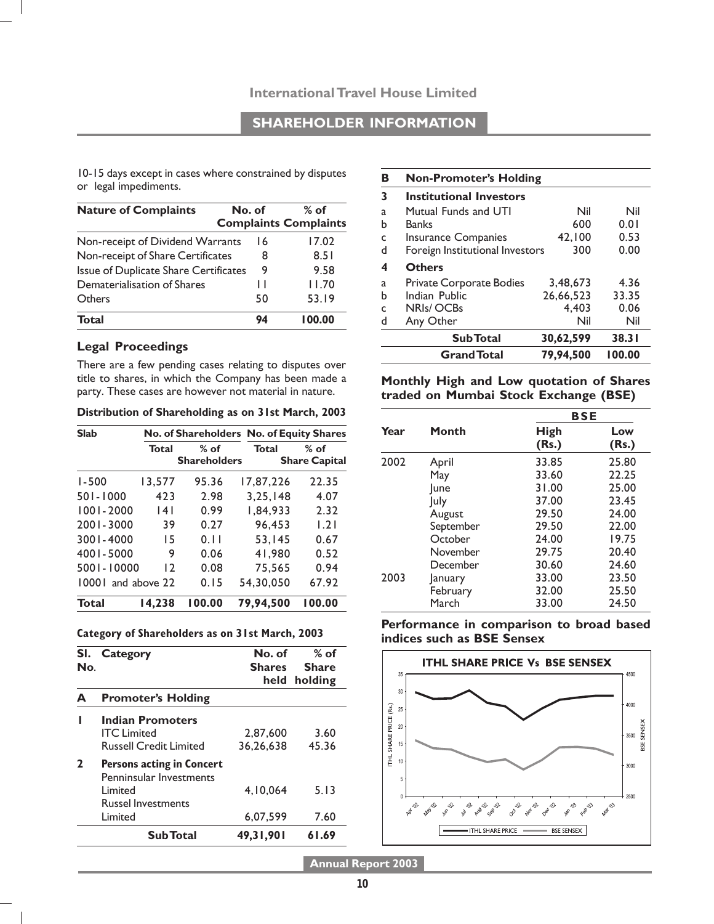# SHAREHOLDER INFORMATION

10-15 days except in cases where constrained by disputes or legal impediments.

| <b>Nature of Complaints</b>           | No. of | $%$ of<br><b>Complaints Complaints</b> |
|---------------------------------------|--------|----------------------------------------|
| Non-receipt of Dividend Warrants      | 16     | 17.02                                  |
| Non-receipt of Share Certificates     | 8      | 8.51                                   |
| Issue of Duplicate Share Certificates | 9      | 9.58                                   |
| Dematerialisation of Shares           | Ħ      | I I.70                                 |
| Others                                | 50     | 53.19                                  |
| Total                                 | 94     | 100.00                                 |

### Legal Proceedings

There are a few pending cases relating to disputes over title to shares, in which the Company has been made a party. These cases are however not material in nature.

Distribution of Shareholding as on 31st March, 2003

| <b>Slab</b>        | No. of Shareholders No. of Equity Shares |                               |              |                                |
|--------------------|------------------------------------------|-------------------------------|--------------|--------------------------------|
|                    | <b>Total</b>                             | $%$ of<br><b>Shareholders</b> | <b>Total</b> | $%$ of<br><b>Share Capital</b> |
| $1 - 500$          | 13,577                                   | 95.36                         | 17,87,226    | 22.35                          |
| 501-1000           | 423                                      | 2.98                          | 3,25,148     | 4.07                           |
| $1001 - 2000$      | 14 I                                     | 0.99                          | 1,84,933     | 2.32                           |
| $2001 - 3000$      | 39                                       | 0.27                          | 96,453       | 1.21                           |
| $3001 - 4000$      | 15                                       | 0.11                          | 53,145       | 0.67                           |
| $4001 - 5000$      | 9                                        | 0.06                          | 41,980       | 0.52                           |
| 5001-10000         | $\overline{2}$                           | 0.08                          | 75.565       | 0.94                           |
| 10001 and above 22 |                                          | 0.15                          | 54,30,050    | 67.92                          |
| <b>Total</b>       | 14.238                                   | 100.00                        | 79,94,500    | 100.00                         |

#### Category of Shareholders as on 31st March, 2003

| SI.<br>No.   | <b>Category</b>                                                                                                | No. of<br><b>Shares</b> | $%$ of<br><b>Share</b><br>held holding |
|--------------|----------------------------------------------------------------------------------------------------------------|-------------------------|----------------------------------------|
| А            | <b>Promoter's Holding</b>                                                                                      |                         |                                        |
|              | <b>Indian Promoters</b><br><b>ITC</b> Limited<br><b>Russell Credit Limited</b>                                 | 2,87,600<br>36.26.638   | 3.60<br>45.36                          |
| $\mathbf{2}$ | <b>Persons acting in Concert</b><br>Penninsular Investments<br>Limited<br><b>Russel Investments</b><br>Limited | 4.10.064<br>6,07,599    | 5.13<br>7.60                           |
|              | <b>Sub Total</b>                                                                                               | 49, 31, 901             | 61.69                                  |

| в            | <b>Non-Promoter's Holding</b>   |           |        |
|--------------|---------------------------------|-----------|--------|
| 3            | <b>Institutional Investors</b>  |           |        |
| a            | Mutual Funds and UTI            | Nil       | Nil    |
| b            | <b>Banks</b>                    | 600       | 0.01   |
| C            | <b>Insurance Companies</b>      | 42,100    | 0.53   |
| d            | Foreign Institutional Investors | 300       | 0.00   |
| 4            | <b>Others</b>                   |           |        |
| a            | <b>Private Corporate Bodies</b> | 3,48,673  | 4.36   |
| b            | Indian Public                   | 26,66,523 | 33.35  |
| $\mathsf{C}$ | NRIs/OCBs                       | 4.403     | 0.06   |
| d            | Any Other                       | Nil       | Nil    |
|              | <b>Sub Total</b>                | 30,62,599 | 38.31  |
|              | <b>Grand Total</b>              | 79,94,500 | 100.00 |

Monthly High and Low quotation of Shares traded on Mumbai Stock Exchange (BSE)

|      |             | <b>BSE</b>           |              |
|------|-------------|----------------------|--------------|
| Year | Month       | <b>High</b><br>(Rs.) | Low<br>(Rs.) |
| 2002 | April       | 33.85                | 25.80        |
|      | May         | 33.60                | 22.25        |
|      | <b>June</b> | 31.00                | 25.00        |
|      | <b>July</b> | 37.00                | 23.45        |
|      | August      | 29.50                | 24.00        |
|      | September   | 29.50                | 22.00        |
|      | October     | 24.00                | 19.75        |
|      | November    | 29.75                | 20.40        |
|      | December    | 30.60                | 24.60        |
| 2003 | January     | 33.00                | 23.50        |
|      | February    | 32.00                | 25.50        |
|      | March       | 33.00                | 24.50        |

#### Performance in comparison to broad based indices such as BSE Sensex

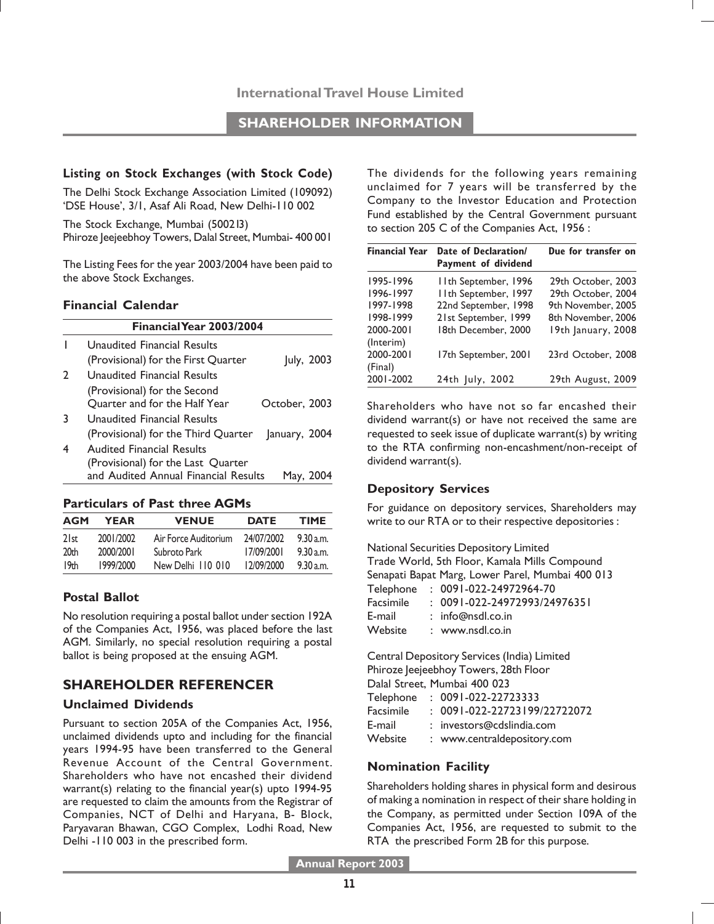# SHAREHOLDER INFORMATION

#### Listing on Stock Exchanges (with Stock Code)

The Delhi Stock Exchange Association Limited (109092) ëDSE Houseí, 3/1, Asaf Ali Road, New Delhi-110 002

The Stock Exchange, Mumbai (500213) Phiroze Jeejeebhoy Towers, Dalal Street, Mumbai- 400 001

The Listing Fees for the year 2003/2004 have been paid to the above Stock Exchanges.

#### Financial Calendar

|                | Financial Year 2003/2004             |               |  |  |
|----------------|--------------------------------------|---------------|--|--|
|                | Unaudited Financial Results          |               |  |  |
|                | (Provisional) for the First Quarter  | July, 2003    |  |  |
| $\overline{2}$ | Unaudited Financial Results          |               |  |  |
|                | (Provisional) for the Second         |               |  |  |
|                | Quarter and for the Half Year        | October, 2003 |  |  |
| 3              | Unaudited Financial Results          |               |  |  |
|                | (Provisional) for the Third Quarter  | January, 2004 |  |  |
| 4              | <b>Audited Financial Results</b>     |               |  |  |
|                | (Provisional) for the Last Quarter   |               |  |  |
|                | and Audited Annual Financial Results | May.          |  |  |

#### Particulars of Past three AGMs

| AGM              | YEAR      | <b>VENUE</b>         | <b>DATE</b> | <b>TIME</b> |
|------------------|-----------|----------------------|-------------|-------------|
| 2 <sub>lst</sub> | 2001/2002 | Air Force Auditorium | 24/07/2002  | $9.30$ a.m. |
| 20th             | 2000/2001 | Subroto Park         | 17/09/2001  | 9.30 a.m.   |
| 19 <sub>th</sub> | 1999/2000 | New Delhi 110 010    | 12/09/2000  | $9.30$ a.m. |
|                  |           |                      |             |             |

#### Postal Ballot

No resolution requiring a postal ballot under section 192A of the Companies Act, 1956, was placed before the last AGM. Similarly, no special resolution requiring a postal ballot is being proposed at the ensuing AGM.

# SHAREHOLDER REFERENCER

#### Unclaimed Dividends

Pursuant to section 205A of the Companies Act, 1956, unclaimed dividends upto and including for the financial years 1994-95 have been transferred to the General Revenue Account of the Central Government. Shareholders who have not encashed their dividend warrant(s) relating to the financial year(s) upto 1994-95 are requested to claim the amounts from the Registrar of Companies, NCT of Delhi and Haryana, B- Block, Paryavaran Bhawan, CGO Complex, Lodhi Road, New Delhi -110 003 in the prescribed form.

The dividends for the following years remaining unclaimed for 7 years will be transferred by the Company to the Investor Education and Protection Fund established by the Central Government pursuant to section 205 C of the Companies Act, 1956 :

| <b>Financial Year</b>  | Date of Declaration/<br>Payment of dividend | Due for transfer on |
|------------------------|---------------------------------------------|---------------------|
| 1995-1996              | I I th September, 1996                      | 29th October, 2003  |
| 1996-1997              | I Ith September, 1997                       | 29th October, 2004  |
| 1997-1998              | 22nd September, 1998                        | 9th November, 2005  |
| 1998-1999              | 21st September, 1999                        | 8th November, 2006  |
| 2000-2001<br>(Interim) | 18th December, 2000                         | 19th January, 2008  |
| 2000-2001<br>(Final)   | 17th September, 2001                        | 23rd October, 2008  |
| 2001-2002              | 24th July, 2002                             | 29th August, 2009   |

Shareholders who have not so far encashed their dividend warrant(s) or have not received the same are requested to seek issue of duplicate warrant(s) by writing to the RTA confirming non-encashment/non-receipt of dividend warrant(s).

#### Depository Services

For guidance on depository services, Shareholders may write to our RTA or to their respective depositories :

National Securities Depository Limited Trade World, 5th Floor, Kamala Mills Compound Senapati Bapat Marg, Lower Parel, Mumbai 400 013 Telephone : 0091-022-24972964-70 Facsimile : 0091-022-24972993/24976351 E-mail : info@nsdl.co.in Website : www.nsdl.co.in

Central Depository Services (India) Limited Phiroze Jeejeebhoy Towers, 28th Floor Dalal Street, Mumbai 400 023 Telephone : 0091-022-22723333 Facsimile : 0091-022-22723199/22722072 E-mail : investors@cdslindia.com Website : www.centraldepository.com

#### Nomination Facility

Shareholders holding shares in physical form and desirous of making a nomination in respect of their share holding in the Company, as permitted under Section 109A of the Companies Act, 1956, are requested to submit to the RTA the prescribed Form 2B for this purpose.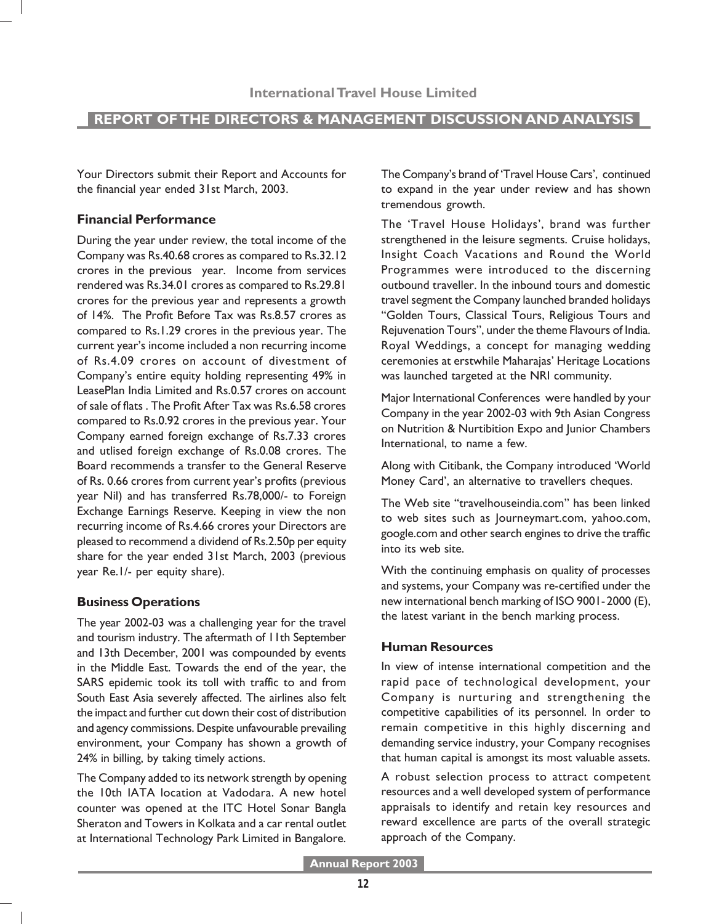# REPORT OF THE DIRECTORS & MANAGEMENT DISCUSSION AND ANALYSIS

Your Directors submit their Report and Accounts for the financial year ended 31st March, 2003.

### Financial Performance

During the year under review, the total income of the Company was Rs.40.68 crores as compared to Rs.32.12 crores in the previous year. Income from services rendered was Rs.34.01 crores as compared to Rs.29.81 crores for the previous year and represents a growth of 14%. The Profit Before Tax was Rs.8.57 crores as compared to Rs.1.29 crores in the previous year. The current year's income included a non recurring income of Rs.4.09 crores on account of divestment of Company's entire equity holding representing 49% in LeasePlan India Limited and Rs.0.57 crores on account of sale of flats . The Profit After Tax was Rs.6.58 crores compared to Rs.0.92 crores in the previous year. Your Company earned foreign exchange of Rs.7.33 crores and utlised foreign exchange of Rs.0.08 crores. The Board recommends a transfer to the General Reserve of Rs. 0.66 crores from current year's profits (previous year Nil) and has transferred Rs.78,000/- to Foreign Exchange Earnings Reserve. Keeping in view the non recurring income of Rs.4.66 crores your Directors are pleased to recommend a dividend of Rs.2.50p per equity share for the year ended 31st March, 2003 (previous year Re.1/- per equity share).

### Business Operations

The year 2002-03 was a challenging year for the travel and tourism industry. The aftermath of 11th September and 13th December, 2001 was compounded by events in the Middle East. Towards the end of the year, the SARS epidemic took its toll with traffic to and from South East Asia severely affected. The airlines also felt the impact and further cut down their cost of distribution and agency commissions. Despite unfavourable prevailing environment, your Company has shown a growth of 24% in billing, by taking timely actions.

The Company added to its network strength by opening the 10th IATA location at Vadodara. A new hotel counter was opened at the ITC Hotel Sonar Bangla Sheraton and Towers in Kolkata and a car rental outlet at International Technology Park Limited in Bangalore.

The Company's brand of 'Travel House Cars', continued to expand in the year under review and has shown tremendous growth.

The 'Travel House Holidays', brand was further strengthened in the leisure segments. Cruise holidays, Insight Coach Vacations and Round the World Programmes were introduced to the discerning outbound traveller. In the inbound tours and domestic travel segment the Company launched branded holidays "Golden Tours, Classical Tours, Religious Tours and Rejuvenation Tours", under the theme Flavours of India. Royal Weddings, a concept for managing wedding ceremonies at erstwhile Maharajas' Heritage Locations was launched targeted at the NRI community.

Major International Conferences were handled by your Company in the year 2002-03 with 9th Asian Congress on Nutrition & Nurtibition Expo and Junior Chambers International, to name a few.

Along with Citibank, the Company introduced 'World Money Card', an alternative to travellers cheques.

The Web site "travelhouseindia.com" has been linked to web sites such as Journeymart.com, yahoo.com, google.com and other search engines to drive the traffic into its web site.

With the continuing emphasis on quality of processes and systems, your Company was re-certified under the new international bench marking of ISO 9001- 2000 (E), the latest variant in the bench marking process.

## Human Resources

In view of intense international competition and the rapid pace of technological development, your Company is nurturing and strengthening the competitive capabilities of its personnel. In order to remain competitive in this highly discerning and demanding service industry, your Company recognises that human capital is amongst its most valuable assets.

A robust selection process to attract competent resources and a well developed system of performance appraisals to identify and retain key resources and reward excellence are parts of the overall strategic approach of the Company.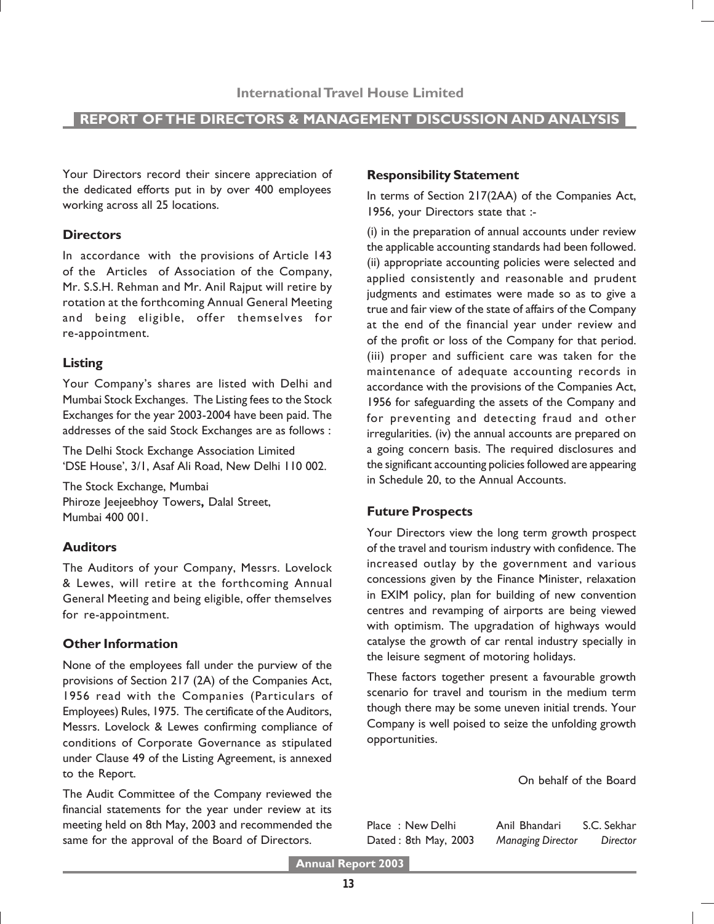# REPORT OF THE DIRECTORS & MANAGEMENT DISCUSSION AND ANALYSIS

Your Directors record their sincere appreciation of the dedicated efforts put in by over 400 employees working across all 25 locations.

# **Directors**

In accordance with the provisions of Article 143 of the Articles of Association of the Company, Mr. S.S.H. Rehman and Mr. Anil Rajput will retire by rotation at the forthcoming Annual General Meeting and being eligible, offer themselves for re-appointment.

# Listing

Your Company's shares are listed with Delhi and Mumbai Stock Exchanges. The Listing fees to the Stock Exchanges for the year 2003-2004 have been paid. The addresses of the said Stock Exchanges are as follows :

The Delhi Stock Exchange Association Limited ëDSE Houseí, 3/1, Asaf Ali Road, New Delhi 110 002.

The Stock Exchange, Mumbai Phiroze Jeejeebhoy Towers, Dalal Street, Mumbai 400 001.

# Auditors

The Auditors of your Company, Messrs. Lovelock & Lewes, will retire at the forthcoming Annual General Meeting and being eligible, offer themselves for re-appointment.

# Other Information

None of the employees fall under the purview of the provisions of Section 217 (2A) of the Companies Act, 1956 read with the Companies (Particulars of Employees) Rules, 1975. The certificate of the Auditors, Messrs. Lovelock & Lewes confirming compliance of conditions of Corporate Governance as stipulated under Clause 49 of the Listing Agreement, is annexed to the Report.

The Audit Committee of the Company reviewed the financial statements for the year under review at its meeting held on 8th May, 2003 and recommended the same for the approval of the Board of Directors.

# Responsibility Statement

In terms of Section 217(2AA) of the Companies Act, 1956, your Directors state that :-

(i) in the preparation of annual accounts under review the applicable accounting standards had been followed. (ii) appropriate accounting policies were selected and applied consistently and reasonable and prudent judgments and estimates were made so as to give a true and fair view of the state of affairs of the Company at the end of the financial year under review and of the profit or loss of the Company for that period. (iii) proper and sufficient care was taken for the maintenance of adequate accounting records in accordance with the provisions of the Companies Act, 1956 for safeguarding the assets of the Company and for preventing and detecting fraud and other irregularities. (iv) the annual accounts are prepared on a going concern basis. The required disclosures and the significant accounting policies followed are appearing in Schedule 20, to the Annual Accounts.

# Future Prospects

Your Directors view the long term growth prospect of the travel and tourism industry with confidence. The increased outlay by the government and various concessions given by the Finance Minister, relaxation in EXIM policy, plan for building of new convention centres and revamping of airports are being viewed with optimism. The upgradation of highways would catalyse the growth of car rental industry specially in the leisure segment of motoring holidays.

These factors together present a favourable growth scenario for travel and tourism in the medium term though there may be some uneven initial trends. Your Company is well poised to seize the unfolding growth opportunities.

On behalf of the Board

Place: New Delhi Anil Bhandari S.C. Sekhar Dated : 8th May, 2003 Managing Director Director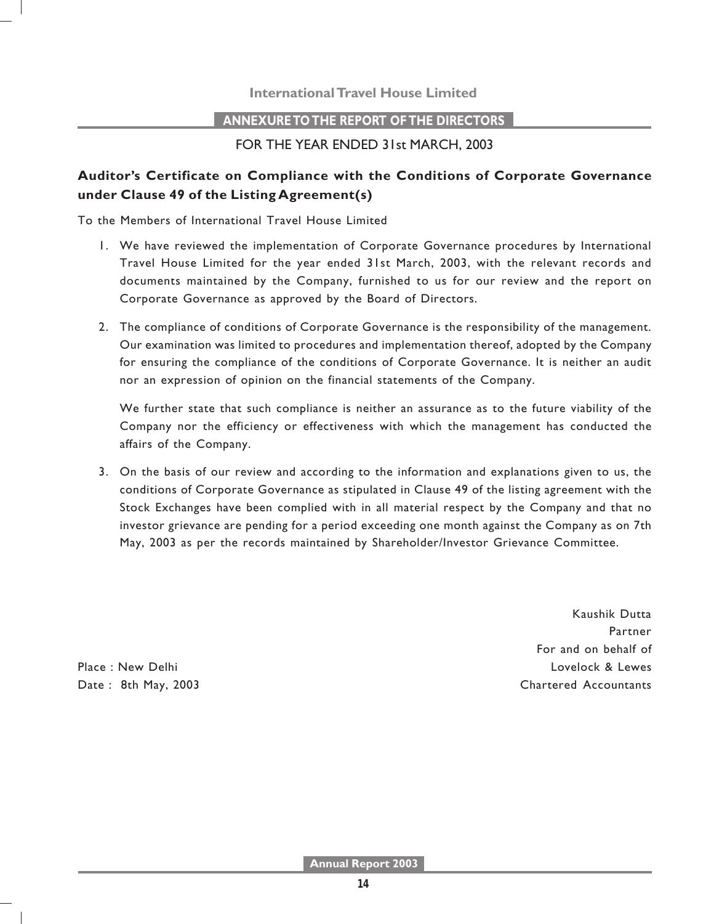# ANNEXURE TO THE REPORT OF THE DIRECTORS

# FOR THE YEAR ENDED 31st MARCH, 2003

# Auditor's Certificate on Compliance with the Conditions of Corporate Governance under Clause 49 of the Listing Agreement(s)

To the Members of International Travel House Limited

- 1. We have reviewed the implementation of Corporate Governance procedures by International Travel House Limited for the year ended 31st March, 2003, with the relevant records and documents maintained by the Company, furnished to us for our review and the report on Corporate Governance as approved by the Board of Directors.
- 2. The compliance of conditions of Corporate Governance is the responsibility of the management. Our examination was limited to procedures and implementation thereof, adopted by the Company for ensuring the compliance of the conditions of Corporate Governance. It is neither an audit nor an expression of opinion on the financial statements of the Company.

We further state that such compliance is neither an assurance as to the future viability of the Company nor the efficiency or effectiveness with which the management has conducted the affairs of the Company.

3. On the basis of our review and according to the information and explanations given to us, the conditions of Corporate Governance as stipulated in Clause 49 of the listing agreement with the Stock Exchanges have been complied with in all material respect by the Company and that no investor grievance are pending for a period exceeding one month against the Company as on 7th May, 2003 as per the records maintained by Shareholder/Investor Grievance Committee.

Kaushik Dutta Partner For and on behalf of Place : New Delhi Lovelock & Lewes Date : 8th May, 2003 Chartered Accountants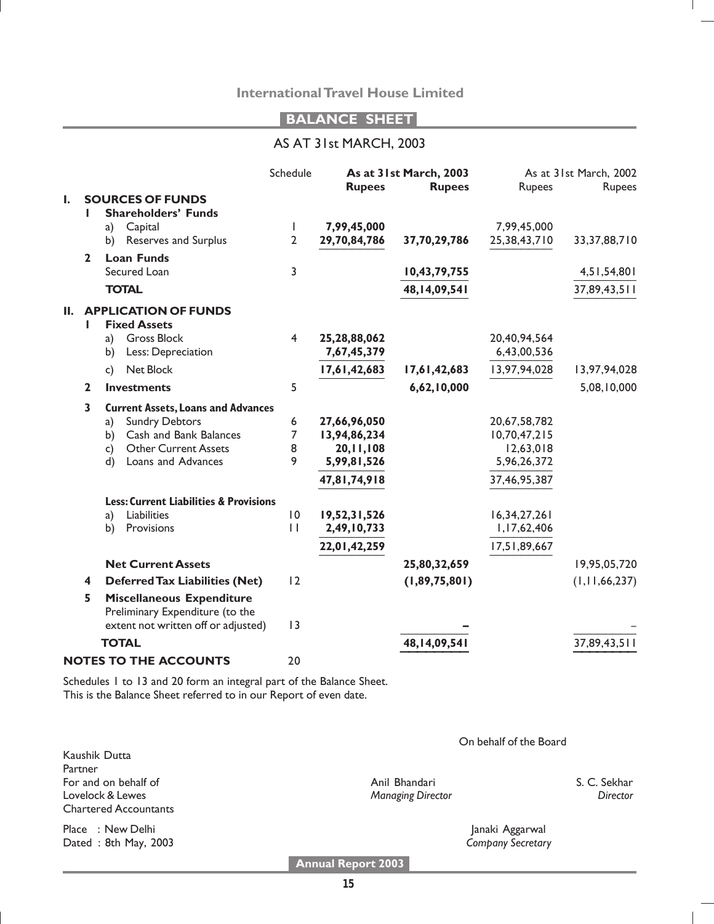# BALANCE SHEET

# AS AT 31st MARCH, 2003

|     |              |                                                                     | Schedule       | <b>Rupees</b>               | As at 31st March, 2003<br><b>Rupees</b> | <b>Rupees</b>               | As at 31st March, 2002<br><b>Rupees</b> |
|-----|--------------|---------------------------------------------------------------------|----------------|-----------------------------|-----------------------------------------|-----------------------------|-----------------------------------------|
| Ι.  |              | <b>SOURCES OF FUNDS</b>                                             |                |                             |                                         |                             |                                         |
|     | ш            | <b>Shareholders' Funds</b>                                          |                |                             |                                         |                             |                                         |
|     |              | Capital<br>a)                                                       | L              | 7,99,45,000                 |                                         | 7,99,45,000                 |                                         |
|     |              | Reserves and Surplus<br>b)                                          | $\overline{2}$ | 29,70,84,786                | 37,70,29,786                            | 25,38,43,710                | 33,37,88,710                            |
|     | $\mathbf{2}$ | <b>Loan Funds</b>                                                   |                |                             |                                         |                             |                                         |
|     |              | Secured Loan                                                        | 3              |                             | 10,43,79,755                            |                             | 4,51,54,801                             |
|     |              | <b>TOTAL</b>                                                        |                |                             | 48,14,09,541                            |                             | 37,89,43,511                            |
| II. | П            | <b>APPLICATION OF FUNDS</b><br><b>Fixed Assets</b>                  |                |                             |                                         |                             |                                         |
|     |              | <b>Gross Block</b><br>a)<br>Less: Depreciation<br>b)                | $\overline{4}$ | 25,28,88,062<br>7,67,45,379 |                                         | 20,40,94,564<br>6,43,00,536 |                                         |
|     |              | <b>Net Block</b><br>c)                                              |                | 17,61,42,683                | 17,61,42,683                            | 13,97,94,028                | 13,97,94,028                            |
|     | $\mathbf{2}$ | <b>Investments</b>                                                  | 5              |                             | 6,62,10,000                             |                             | 5,08,10,000                             |
|     | 3            | <b>Current Assets, Loans and Advances</b>                           |                |                             |                                         |                             |                                         |
|     |              | <b>Sundry Debtors</b><br>a)                                         | 6              | 27,66,96,050                |                                         | 20,67,58,782                |                                         |
|     |              | Cash and Bank Balances<br>b)                                        | 7              | 13,94,86,234                |                                         | 10,70,47,215                |                                         |
|     |              | <b>Other Current Assets</b><br>c)                                   | 8              | 20, 11, 108                 |                                         | 12,63,018                   |                                         |
|     |              | Loans and Advances<br>d)                                            | 9              | 5,99,81,526                 |                                         | 5,96,26,372                 |                                         |
|     |              |                                                                     |                | 47,81,74,918                |                                         | 37,46,95,387                |                                         |
|     |              | <b>Less: Current Liabilities &amp; Provisions</b>                   |                |                             |                                         |                             |                                         |
|     |              | Liabilities<br>a)                                                   | 10             | 19,52,31,526                |                                         | 16,34,27,261                |                                         |
|     |              | Provisions<br>b)                                                    | $\mathbf{H}$   | 2,49,10,733                 |                                         | 1,17,62,406                 |                                         |
|     |              |                                                                     |                | 22,01,42,259                |                                         | 17,51,89,667                |                                         |
|     |              | <b>Net Current Assets</b>                                           |                |                             | 25,80,32,659                            |                             | 19,95,05,720                            |
|     | 4            | <b>Deferred Tax Liabilities (Net)</b>                               | 12             |                             | (1,89,75,801)                           |                             | (1, 11, 66, 237)                        |
|     | 5            | <b>Miscellaneous Expenditure</b><br>Preliminary Expenditure (to the |                |                             |                                         |                             |                                         |
|     |              | extent not written off or adjusted)                                 | 3              |                             |                                         |                             |                                         |
|     |              | <b>TOTAL</b>                                                        |                |                             | 48,14,09,541                            |                             | 37,89,43,511                            |
|     |              | <b>NOTES TO THE ACCOUNTS</b>                                        | 20             |                             |                                         |                             |                                         |

Schedules 1 to 13 and 20 form an integral part of the Balance Sheet. This is the Balance Sheet referred to in our Report of even date.

On behalf of the Board Kaushik Dutta Partner For and on behalf of **Anil Bhandari** S. C. Sekhar Lovelock & Lewes **Example 2018** Managing Director **Managing Director** Director Chartered Accountants Place : New Delhi Janaki Aggarwal Dated : 8th May, 2003 **Company Secretary**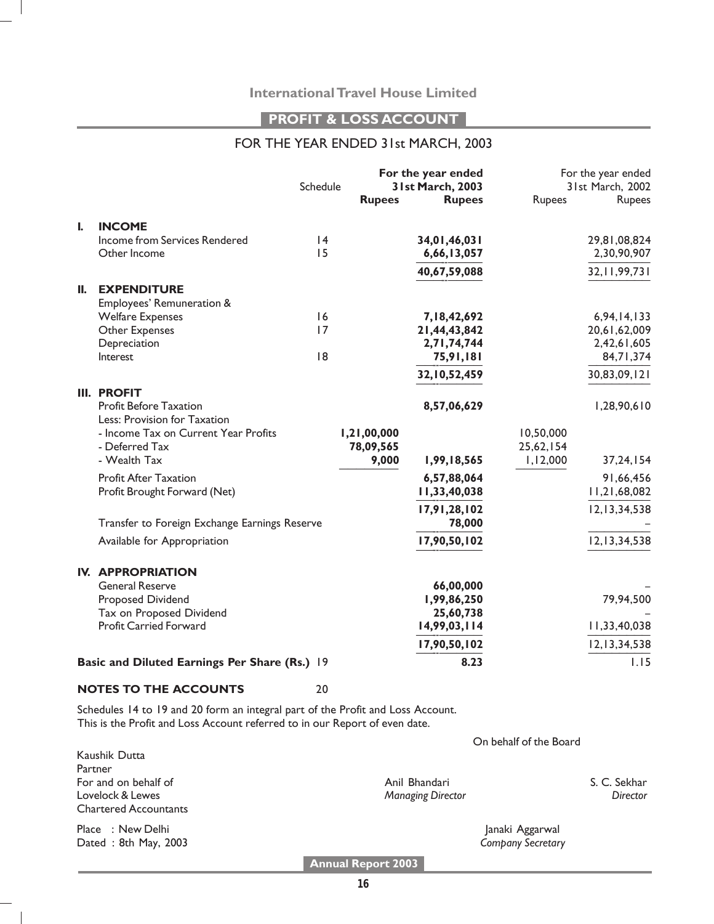# PROFIT & LOSS ACCOUNT

# FOR THE YEAR ENDED 31st MARCH, 2003

|                |                                                        | Schedule |                          | For the year ended<br>3 I st March, 2003 |                        | For the year ended<br>31st March, 2002 |
|----------------|--------------------------------------------------------|----------|--------------------------|------------------------------------------|------------------------|----------------------------------------|
|                |                                                        |          | <b>Rupees</b>            | <b>Rupees</b>                            | Rupees                 | Rupees                                 |
| $\mathbf{I}$ . | <b>INCOME</b>                                          |          |                          |                                          |                        |                                        |
|                | Income from Services Rendered                          | 4        |                          | 34,01,46,031                             |                        | 29,81,08,824                           |
|                | Other Income                                           | 15       |                          | 6,66,13,057                              |                        | 2,30,90,907                            |
|                |                                                        |          |                          | 40,67,59,088                             |                        | 32, 11, 99, 731                        |
| Ш.             | <b>EXPENDITURE</b>                                     |          |                          |                                          |                        |                                        |
|                | Employees' Remuneration &                              |          |                          |                                          |                        |                                        |
|                | <b>Welfare Expenses</b>                                | 16       |                          | 7,18,42,692                              |                        | 6,94,14,133                            |
|                | Other Expenses                                         | 17       |                          | 21,44,43,842                             |                        | 20,61,62,009                           |
|                | Depreciation                                           |          |                          | 2,71,74,744                              |                        | 2,42,61,605                            |
|                | Interest                                               | 8        |                          | 75,91,181                                |                        | 84,71,374                              |
|                |                                                        |          |                          | 32,10,52,459                             |                        | 30,83,09,121                           |
|                | <b>III. PROFIT</b>                                     |          |                          |                                          |                        |                                        |
|                | <b>Profit Before Taxation</b>                          |          |                          | 8,57,06,629                              |                        | 1,28,90,610                            |
|                | Less: Provision for Taxation                           |          |                          |                                          |                        |                                        |
|                | - Income Tax on Current Year Profits<br>- Deferred Tax |          | 1,21,00,000<br>78,09,565 |                                          | 10,50,000<br>25,62,154 |                                        |
|                | - Wealth Tax                                           |          | 9,000                    | 1,99,18,565                              | 1, 12, 000             | 37,24,154                              |
|                |                                                        |          |                          |                                          |                        |                                        |
|                | <b>Profit After Taxation</b>                           |          |                          | 6,57,88,064                              |                        | 91,66,456                              |
|                | Profit Brought Forward (Net)                           |          |                          | 11,33,40,038                             |                        | 11,21,68,082                           |
|                |                                                        |          |                          | 17,91,28,102                             |                        | 12, 13, 34, 538                        |
|                | Transfer to Foreign Exchange Earnings Reserve          |          |                          | 78,000                                   |                        |                                        |
|                | Available for Appropriation                            |          |                          | 17,90,50,102                             |                        | 12, 13, 34, 538                        |
|                | <b>IV. APPROPRIATION</b>                               |          |                          |                                          |                        |                                        |
|                | <b>General Reserve</b>                                 |          |                          | 66,00,000                                |                        |                                        |
|                | <b>Proposed Dividend</b>                               |          |                          | 1,99,86,250                              |                        | 79,94,500                              |
|                | Tax on Proposed Dividend                               |          |                          | 25,60,738                                |                        |                                        |
|                | <b>Profit Carried Forward</b>                          |          |                          | 14,99,03,114                             |                        | 11,33,40,038                           |
|                |                                                        |          |                          | 17,90,50,102                             |                        | 12, 13, 34, 538                        |
|                | Basic and Diluted Earnings Per Share (Rs.) 19          |          |                          | 8.23                                     |                        | 1.15                                   |
|                |                                                        |          |                          |                                          |                        |                                        |

### NOTES TO THE ACCOUNTS 20

Schedules 14 to 19 and 20 form an integral part of the Profit and Loss Account. This is the Profit and Loss Account referred to in our Report of even date.

Annual Report 2003 On behalf of the Board Kaushik Dutta Partner For and on behalf of **Anil Bhandari** Anil Bhandari S. C. Sekhar Lovelock & Lewes **Example 2018** Managing Director **Managing Director** Director Chartered Accountants Place : New Delhi Janaki Aggarwal Dated : 8th May, 2003 **Company Secretary**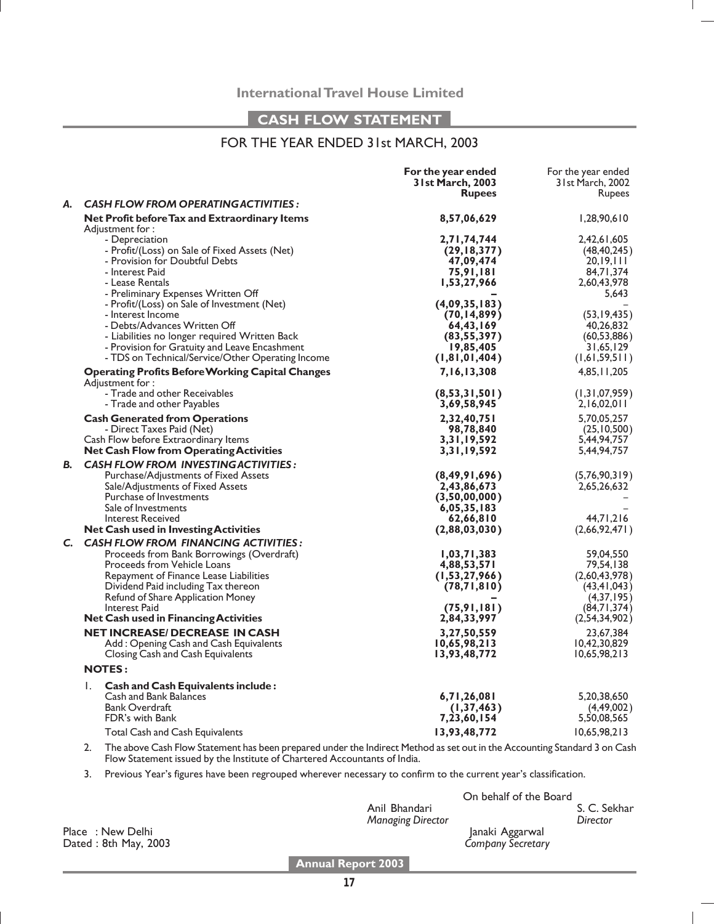# CASH FLOW STATEMENT

# FOR THE YEAR ENDED 31st MARCH, 2003

|    |                                                                                                                                                                                                                                                                | For the year ended<br>3 Ist March, 2003<br><b>Rupees</b>                                   | For the year ended<br>31st March, 2002<br><b>Rupees</b>                               |
|----|----------------------------------------------------------------------------------------------------------------------------------------------------------------------------------------------------------------------------------------------------------------|--------------------------------------------------------------------------------------------|---------------------------------------------------------------------------------------|
| А. | <b>CASH FLOW FROM OPERATING ACTIVITIES:</b>                                                                                                                                                                                                                    |                                                                                            |                                                                                       |
|    | Net Profit before Tax and Extraordinary Items<br>Adjustment for:                                                                                                                                                                                               | 8,57,06,629                                                                                | 1,28,90,610                                                                           |
|    | - Depreciation<br>- Profit/(Loss) on Sale of Fixed Assets (Net)<br>- Provision for Doubtful Debts                                                                                                                                                              | 2,71,74,744<br>(29, 18, 377)<br>47,09,474                                                  | 2,42,61,605<br>(48, 40, 245)<br>20,19,111                                             |
|    | - Interest Paid<br>- Lease Rentals<br>- Preliminary Expenses Written Off                                                                                                                                                                                       | 75,91,181<br>1,53,27,966                                                                   | 84,71,374<br>2,60,43,978<br>5,643                                                     |
|    | - Profit/(Loss) on Sale of Investment (Net)<br>- Interest Income<br>- Debts/Advances Written Off<br>- Liabilities no longer required Written Back<br>- Provision for Gratuity and Leave Encashment<br>- TDS on Technical/Service/Other Operating Income        | (4,09,35,183)<br>(70, 14, 899)<br>64,43,169<br>(83, 55, 397)<br>19,85,405<br>(1,81,01,404) | (53, 19, 435)<br>40,26,832<br>(60, 53, 886)<br>31,65,129<br>(1,61,59,511)             |
|    | <b>Operating Profits Before Working Capital Changes</b><br>Adjustment for:                                                                                                                                                                                     | 7,16,13,308                                                                                | 4,85, 11,205                                                                          |
|    | - Trade and other Receivables<br>- Trade and other Payables                                                                                                                                                                                                    | (8,53,31,501)<br>3,69,58,945                                                               | (1,31,07,959)<br>2,16,02,011                                                          |
|    | <b>Cash Generated from Operations</b><br>- Direct Taxes Paid (Net)<br>Cash Flow before Extraordinary Items<br><b>Net Cash Flow from Operating Activities</b>                                                                                                   | 2,32,40,751<br>98,78,840<br>3, 31, 19, 592<br>3, 31, 19, 592                               | 5,70,05,257<br>(25, 10, 500)<br>5,44,94,757<br>5,44,94,757                            |
| В. | <b>CASH FLOW FROM INVESTING ACTIVITIES:</b><br>Purchase/Adjustments of Fixed Assets<br>Sale/Adjustments of Fixed Assets<br>Purchase of Investments<br>Sale of Investments<br><b>Interest Received</b><br><b>Net Cash used in Investing Activities</b>          | (8,49,91,696)<br>2,43,86,673<br>(3,50,00,000)<br>6,05,35,183<br>62,66,810<br>(2,88,03,030) | (5,76,90,319)<br>2,65,26,632<br>44,71,216<br>(2,66,92,471)                            |
| C. | <b>CASH FLOW FROM FINANCING ACTIVITIES:</b><br>Proceeds from Bank Borrowings (Overdraft)<br>Proceeds from Vehicle Loans<br>Repayment of Finance Lease Liabilities<br>Dividend Paid including Tax thereon<br>Refund of Share Application Money<br>Interest Paid | 1,03,71,383<br>4,88,53,571<br>(1, 53, 27, 966)<br>(78, 71, 810)<br>(75, 91, 181)           | 59,04,550<br>79,54,138<br>(2,60,43,978)<br>(43, 41, 043)<br>(4,37,195)<br>(84,71,374) |
|    | Net Cash used in Financing Activities                                                                                                                                                                                                                          | 2,84,33,997                                                                                | (2,54,34,902)                                                                         |
|    | <b>NET INCREASE/ DECREASE IN CASH</b><br>Add: Opening Cash and Cash Equivalents<br>Closing Cash and Cash Equivalents                                                                                                                                           | 3,27,50,559<br>10,65,98,213<br>13,93,48,772                                                | 23,67,384<br>10,42,30,829<br>10,65,98,213                                             |
|    | <b>NOTES:</b>                                                                                                                                                                                                                                                  |                                                                                            |                                                                                       |
|    | Ι.<br><b>Cash and Cash Equivalents include:</b><br>Cash and Bank Balances<br><b>Bank Overdraft</b><br><b>FDR's with Bank</b>                                                                                                                                   | 6,71,26,081<br>(1, 37, 463)<br>7,23,60,154                                                 | 5,20,38,650<br>(4,49,002)<br>5,50,08,565                                              |
|    | <b>Total Cash and Cash Equivalents</b>                                                                                                                                                                                                                         | 13,93,48,772                                                                               | 10,65,98,213                                                                          |

2. The above Cash Flow Statement has been prepared under the Indirect Method as set out in the Accounting Standard 3 on Cash Flow Statement issued by the Institute of Chartered Accountants of India.

3. Previous Year's figures have been regrouped wherever necessary to confirm to the current year's classification.

|                                          |                                           | On behalf of the Board                      |                          |
|------------------------------------------|-------------------------------------------|---------------------------------------------|--------------------------|
| Place: New Delhi<br>Dated: 8th May, 2003 | Anil Bhandari<br><b>Managing Director</b> | Janaki Aggarwal<br><b>Company Secretary</b> | S. C. Sekhar<br>Director |
|                                          | <b>Annual Report 2003</b>                 |                                             |                          |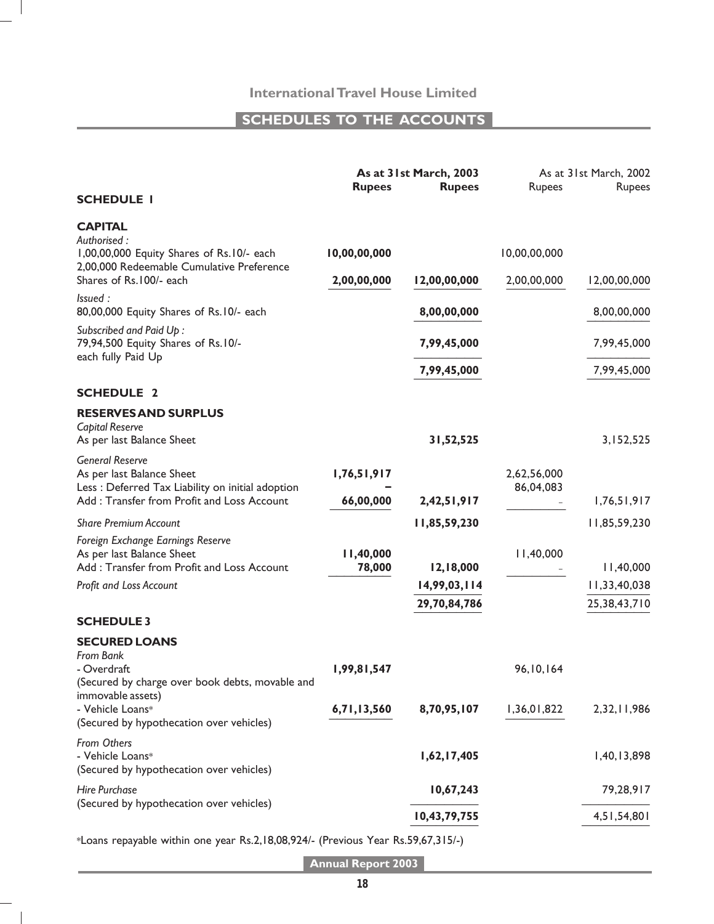# SCHEDULES TO THE ACCOUNTS

|                                                                                                                                                    | <b>Rupees</b>               | As at 31st March, 2003<br><b>Rupees</b> | <b>Rupees</b>            | As at 31st March, 2002<br>Rupees |
|----------------------------------------------------------------------------------------------------------------------------------------------------|-----------------------------|-----------------------------------------|--------------------------|----------------------------------|
| <b>SCHEDULE I</b>                                                                                                                                  |                             |                                         |                          |                                  |
| <b>CAPITAL</b><br>Authorised:<br>1,00,00,000 Equity Shares of Rs.10/- each<br>2,00,000 Redeemable Cumulative Preference<br>Shares of Rs.100/- each | 10,00,00,000<br>2,00,00,000 | 12,00,00,000                            | 10,00,00,000             | 12,00,00,000                     |
| Issued:                                                                                                                                            |                             |                                         | 2,00,00,000              |                                  |
| 80,00,000 Equity Shares of Rs.10/- each                                                                                                            |                             | 8,00,00,000                             |                          | 8,00,00,000                      |
| Subscribed and Paid Up:<br>79,94,500 Equity Shares of Rs.10/-<br>each fully Paid Up                                                                |                             | 7,99,45,000                             |                          | 7,99,45,000                      |
|                                                                                                                                                    |                             | 7,99,45,000                             |                          | 7,99,45,000                      |
| <b>SCHEDULE 2</b>                                                                                                                                  |                             |                                         |                          |                                  |
| <b>RESERVES AND SURPLUS</b><br><b>Capital Reserve</b><br>As per last Balance Sheet                                                                 |                             | 31,52,525                               |                          | 3,152,525                        |
| <b>General Reserve</b>                                                                                                                             |                             |                                         |                          |                                  |
| As per last Balance Sheet<br>Less : Deferred Tax Liability on initial adoption                                                                     | 1,76,51,917                 |                                         | 2,62,56,000<br>86,04,083 |                                  |
| Add: Transfer from Profit and Loss Account                                                                                                         | 66,00,000                   | 2,42,51,917                             |                          | 1,76,51,917                      |
| <b>Share Premium Account</b>                                                                                                                       |                             | 11,85,59,230                            |                          | 11,85,59,230                     |
| Foreign Exchange Earnings Reserve<br>As per last Balance Sheet<br>Add: Transfer from Profit and Loss Account                                       | 11,40,000<br>78,000         | 12,18,000                               | 11,40,000                | 11,40,000                        |
| Profit and Loss Account                                                                                                                            |                             | 14,99,03,114                            |                          | 11,33,40,038                     |
|                                                                                                                                                    |                             | 29,70,84,786                            |                          | 25,38,43,710                     |
| <b>SCHEDULE 3</b>                                                                                                                                  |                             |                                         |                          |                                  |
| <b>SECURED LOANS</b><br><b>From Bank</b><br>- Overdraft<br>(Secured by charge over book debts, movable and                                         | 1,99,81,547                 |                                         | 96, 10, 164              |                                  |
| immovable assets)<br>- Vehicle Loans*<br>(Secured by hypothecation over vehicles)                                                                  | 6,71,13,560                 | 8,70,95,107                             | 1,36,01,822              | 2,32,11,986                      |
| From Others<br>- Vehicle Loans*<br>(Secured by hypothecation over vehicles)                                                                        |                             | 1,62,17,405                             |                          | 1,40,13,898                      |
| Hire Purchase                                                                                                                                      |                             | 10,67,243                               |                          | 79,28,917                        |
| (Secured by hypothecation over vehicles)                                                                                                           |                             | 10,43,79,755                            |                          | 4,51,54,801                      |

\*Loans repayable within one year Rs.2,18,08,924/- (Previous Year Rs.59,67,315/-)

 $\sim$  1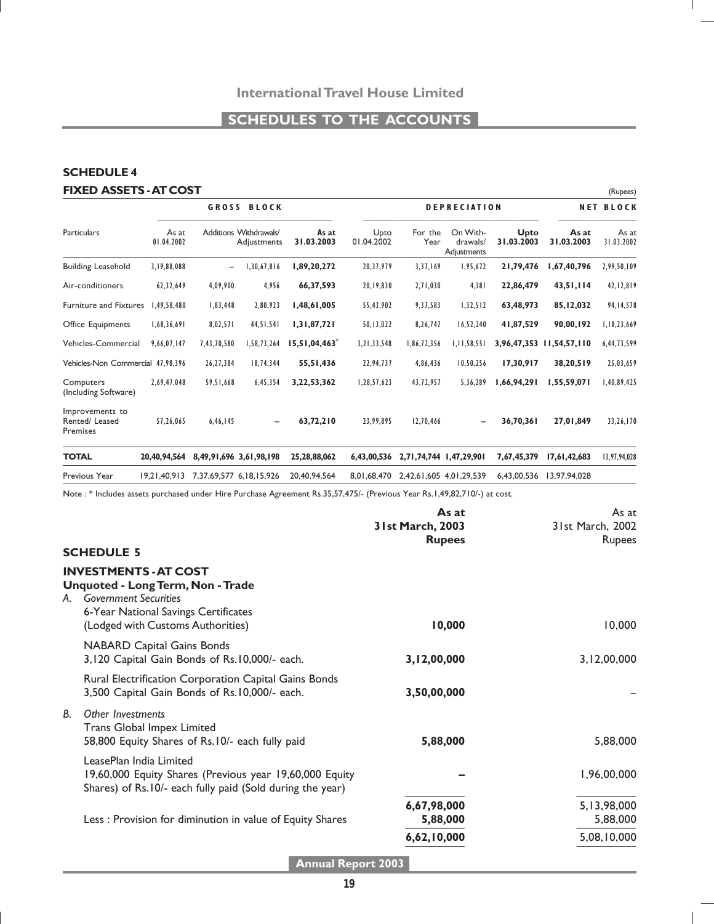# SCHEDULE 4 FIXED ASSETS - AT COST (Rupees)

|                                               |                     | GROSS                    | <b>BLOCK</b>                          |                     |                    |                         | <b>DEPRECIATION</b>                 |                    |                          | <b>NET BLOCK</b>    |
|-----------------------------------------------|---------------------|--------------------------|---------------------------------------|---------------------|--------------------|-------------------------|-------------------------------------|--------------------|--------------------------|---------------------|
| Particulars                                   | As at<br>01.04.2002 |                          | Additions Withdrawals/<br>Adjustments | As at<br>31.03.2003 | Upto<br>01.04.2002 | For the<br>Year         | On With-<br>drawals/<br>Adjustments | Upto<br>31.03.2003 | As at<br>31.03.2003      | As at<br>31.03.2002 |
| <b>Building Leasehold</b>                     | 3,19,88,088         | $\overline{\phantom{0}}$ | 1,30,67,816                           | 1,89,20,272         | 20,37,979          | 3,37,169                | 1,95,672                            | 21,79,476          | 1,67,40,796              | 2,99,50,109         |
| Air-conditioners                              | 62,32,649           | 4,09,900                 | 4,956                                 | 66,37,593           | 20,19,830          | 2,71,030                | 4,381                               | 22,86,479          | 43,51,114                | 42, 12, 819         |
| <b>Furniture and Fixtures</b>                 | 1,49,58,480         | 1,83,448                 | 2,80,923                              | 1,48,61,005         | 55,43,902          | 9,37,583                | 1,32,512                            | 63,48,973          | 85, 12, 032              | 94, 14, 578         |
| Office Equipments                             | 1,68,36,691         | 8,02,571                 | 44,51,541                             | 1,31,87,721         | 50,13,022          | 8,26,747                | 16,52,240                           | 41,87,529          | 90,00,192                | 1,18,23,669         |
| Vehicles-Commercial                           | 9,66,07,147         | 7,43,70,580              | 1,58,73,264                           | 15,51,04,463        | 3, 21, 33, 548     | 1,86,72,356             | 1, 11, 58, 551                      | 3,96,47,353        | 11,54,57,110             | 6,44,73,599         |
| Vehicles-Non Commercial 47,98,396             |                     | 26,27,384                | 18,74,344                             | 55,51,436           | 22,94,737          | 4,86,436                | 10,50,256                           | 17,30,917          | 38,20,519                | 25,03,659           |
| Computers<br>(Including Software)             | 2,69,47,048         | 59,51,668                | 6,45,354                              | 3,22,53,362         | 1,28,57,623        | 43, 72, 957             | 5,36,289                            | 1,66,94,291        | 1,55,59,071              | 1,40,89,425         |
| Improvements to<br>Rented/ Leased<br>Premises | 57,26,065           | 6,46,145                 | $\overline{\phantom{m}}$              | 63,72,210           | 23,99,895          | 12,70,466               | $\qquad \qquad$                     | 36,70,361          | 27,01,849                | 33,26,170           |
| <b>TOTAL</b>                                  | 20,40,94,564        |                          | 8,49,91,696 3,61,98,198               | 25,28,88,062        | 6,43,00,536        | 2,71,74,744 1,47,29,901 |                                     | 7,67,45,379        | 17,61,42,683             | 13,97,94,028        |
| Previous Year                                 | 19.21.40.913        |                          | 7.37.69.577 6.18.15.926               | 20.40.94.564        | 8.01.68.470        | 2.42.61.605 4.01.29.539 |                                     |                    | 6.43.00.536 13.97.94.028 |                     |

Note : \* Includes assets purchased under Hire Purchase Agreement Rs.35,57,475/- (Previous Year Rs.1,49,82,710/-) at cost.

|                                                                                                                                                                                           | As at<br>31st March, 2003<br><b>Rupees</b> | As at<br>31st March, 2002<br>Rupees |
|-------------------------------------------------------------------------------------------------------------------------------------------------------------------------------------------|--------------------------------------------|-------------------------------------|
| <b>SCHEDULE 5</b>                                                                                                                                                                         |                                            |                                     |
| <b>INVESTMENTS-AT COST</b><br><b>Unquoted - Long Term, Non - Trade</b><br><b>Government Securities</b><br>A.<br>6-Year National Savings Certificates<br>(Lodged with Customs Authorities) | 10,000                                     | 10,000                              |
| <b>NABARD Capital Gains Bonds</b><br>3,120 Capital Gain Bonds of Rs.10,000/- each.                                                                                                        | 3,12,00,000                                | 3,12,00,000                         |
| Rural Electrification Corporation Capital Gains Bonds<br>3,500 Capital Gain Bonds of Rs.10,000/- each.                                                                                    | 3,50,00,000                                |                                     |
| В.<br>Other Investments<br><b>Trans Global Impex Limited</b><br>58,800 Equity Shares of Rs.10/- each fully paid                                                                           | 5,88,000                                   | 5,88,000                            |
| LeasePlan India Limited<br>19,60,000 Equity Shares (Previous year 19,60,000 Equity<br>Shares) of Rs.10/- each fully paid (Sold during the year)                                           |                                            | 1,96,00,000                         |
| Less : Provision for diminution in value of Equity Shares                                                                                                                                 | 6,67,98,000<br>5,88,000                    | 5,13,98,000<br>5,88,000             |
|                                                                                                                                                                                           | 6,62,10,000                                | 5,08,10,000                         |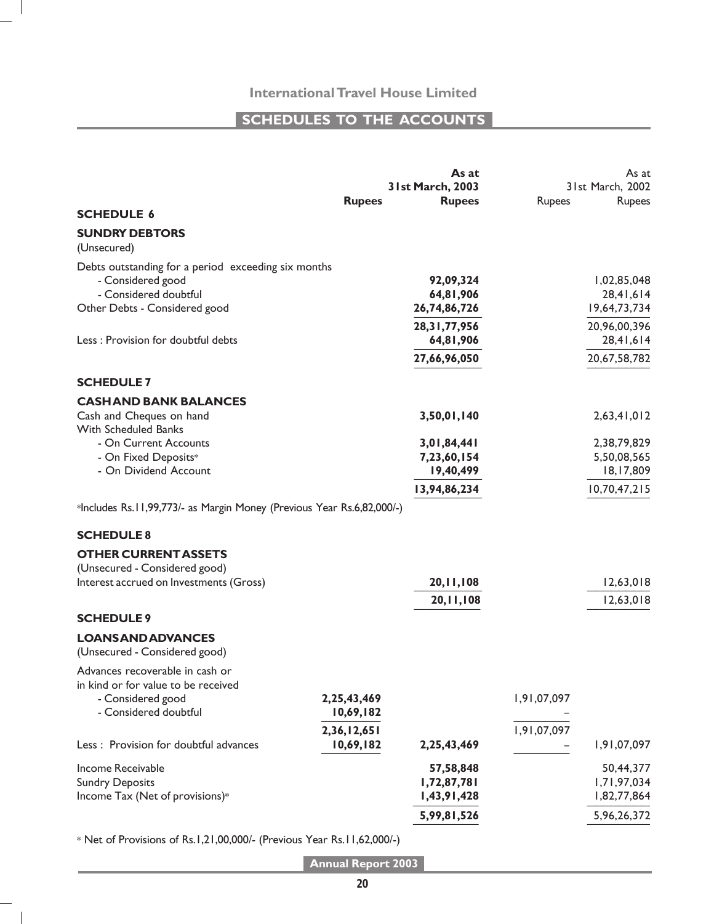|                                                                          |                          | As at<br>31st March, 2003 |               | As at<br>31st March, 2002 |
|--------------------------------------------------------------------------|--------------------------|---------------------------|---------------|---------------------------|
| <b>SCHEDULE 6</b>                                                        | <b>Rupees</b>            | <b>Rupees</b>             | <b>Rupees</b> | <b>Rupees</b>             |
|                                                                          |                          |                           |               |                           |
| <b>SUNDRY DEBTORS</b><br>(Unsecured)                                     |                          |                           |               |                           |
| Debts outstanding for a period exceeding six months<br>- Considered good |                          | 92,09,324                 |               | 1,02,85,048               |
| - Considered doubtful                                                    |                          | 64,81,906                 |               | 28,41,614                 |
| Other Debts - Considered good                                            |                          | 26,74,86,726              |               | 19,64,73,734              |
|                                                                          |                          | 28, 31, 77, 956           |               | 20,96,00,396              |
| Less: Provision for doubtful debts                                       |                          | 64,81,906                 |               | 28,41,614                 |
|                                                                          |                          | 27,66,96,050              |               | 20,67,58,782              |
| <b>SCHEDULE 7</b>                                                        |                          |                           |               |                           |
| <b>CASHAND BANK BALANCES</b>                                             |                          |                           |               |                           |
| Cash and Cheques on hand<br><b>With Scheduled Banks</b>                  |                          | 3,50,01,140               |               | 2,63,41,012               |
| - On Current Accounts                                                    |                          | 3,01,84,441               |               | 2,38,79,829               |
| - On Fixed Deposits*                                                     |                          | 7,23,60,154               |               | 5,50,08,565               |
| - On Dividend Account                                                    |                          | 19,40,499                 |               | 18,17,809<br>10,70,47,215 |
| *Includes Rs.11,99,773/- as Margin Money (Previous Year Rs.6,82,000/-)   |                          | 13,94,86,234              |               |                           |
| <b>SCHEDULE 8</b>                                                        |                          |                           |               |                           |
|                                                                          |                          |                           |               |                           |
| <b>OTHER CURRENT ASSETS</b><br>(Unsecured - Considered good)             |                          |                           |               |                           |
| Interest accrued on Investments (Gross)                                  |                          | 20, 11, 108               |               | 12,63,018                 |
|                                                                          |                          | 20, 11, 108               |               | 12,63,018                 |
| <b>SCHEDULE 9</b>                                                        |                          |                           |               |                           |
| <b>LOANS AND ADVANCES</b><br>(Unsecured - Considered good)               |                          |                           |               |                           |
| Advances recoverable in cash or<br>in kind or for value to be received   |                          |                           |               |                           |
| - Considered good<br>- Considered doubtful                               | 2,25,43,469<br>10,69,182 |                           | 1,91,07,097   |                           |
|                                                                          | 2,36,12,651              |                           | 1,91,07,097   |                           |
| Less: Provision for doubtful advances                                    | 10,69,182                | 2,25,43,469               |               | 1,91,07,097               |
| Income Receivable                                                        |                          | 57,58,848                 |               | 50,44,377                 |
| <b>Sundry Deposits</b>                                                   |                          | 1,72,87,781               |               | 1,71,97,034               |
| Income Tax (Net of provisions)*                                          |                          | 1,43,91,428               |               | 1,82,77,864               |
|                                                                          |                          | 5,99,81,526               |               | 5,96,26,372               |

\* Net of Provisions of Rs.1,21,00,000/- (Previous Year Rs.11,62,000/-)

 $\mathbb{R}^n$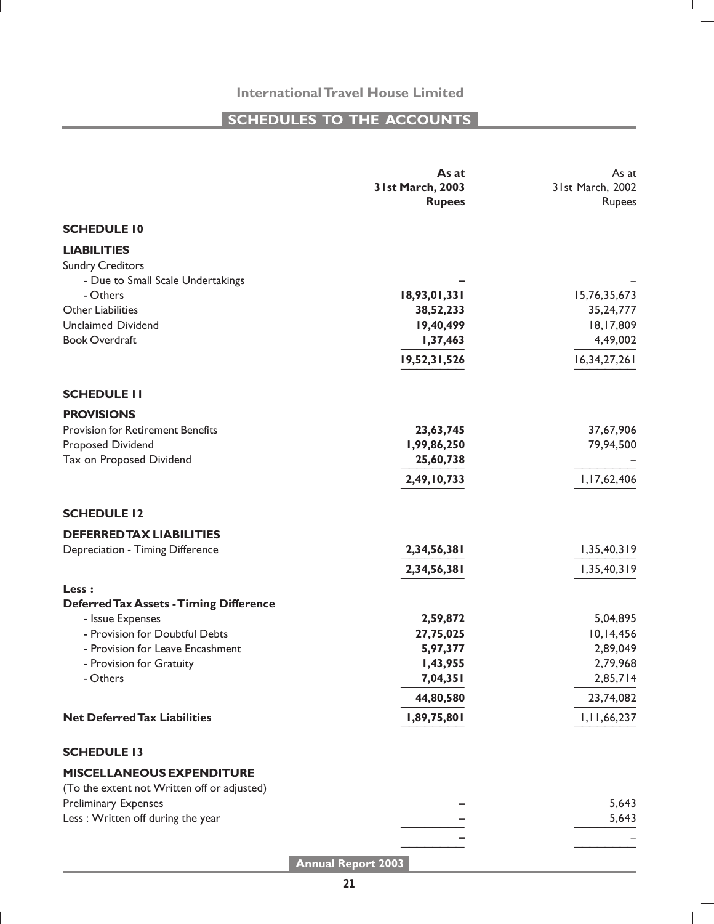|                                                                                                | As at<br>31st March, 2003<br><b>Rupees</b> | As at<br>31st March, 2002<br>Rupees |
|------------------------------------------------------------------------------------------------|--------------------------------------------|-------------------------------------|
| <b>SCHEDULE 10</b>                                                                             |                                            |                                     |
| <b>LIABILITIES</b><br><b>Sundry Creditors</b><br>- Due to Small Scale Undertakings<br>- Others | 18,93,01,331                               | 15,76,35,673                        |
| <b>Other Liabilities</b>                                                                       | 38,52,233                                  | 35, 24, 777                         |
| <b>Unclaimed Dividend</b>                                                                      | 19,40,499                                  | 18,17,809                           |
| <b>Book Overdraft</b>                                                                          | 1,37,463                                   | 4,49,002                            |
|                                                                                                | 19,52,31,526                               | 16,34,27,261                        |
| <b>SCHEDULE II</b>                                                                             |                                            |                                     |
| <b>PROVISIONS</b>                                                                              |                                            |                                     |
| <b>Provision for Retirement Benefits</b>                                                       | 23,63,745                                  | 37,67,906                           |
| Proposed Dividend                                                                              | 1,99,86,250                                | 79,94,500                           |
| Tax on Proposed Dividend                                                                       | 25,60,738                                  |                                     |
|                                                                                                | 2,49,10,733                                | 1,17,62,406                         |
| <b>SCHEDULE 12</b>                                                                             |                                            |                                     |
| <b>DEFERREDTAX LIABILITIES</b>                                                                 |                                            |                                     |
| Depreciation - Timing Difference                                                               | 2,34,56,381                                | 1,35,40,319                         |
|                                                                                                | 2,34,56,381                                | 1,35,40,319                         |
| Less :                                                                                         |                                            |                                     |
| <b>Deferred Tax Assets - Timing Difference</b>                                                 |                                            |                                     |
| - Issue Expenses<br>- Provision for Doubtful Debts                                             | 2,59,872<br>27,75,025                      | 5,04,895<br>10, 14, 456             |
| - Provision for Leave Encashment                                                               | 5,97,377                                   | 2,89,049                            |
| - Provision for Gratuity                                                                       | 1,43,955                                   | 2,79,968                            |
| - Others                                                                                       | 7,04,351                                   | 2,85,714                            |
|                                                                                                | 44,80,580                                  | 23,74,082                           |
| <b>Net Deferred Tax Liabilities</b>                                                            | 1,89,75,801                                | 1, 11, 66, 237                      |
| <b>SCHEDULE 13</b>                                                                             |                                            |                                     |
| <b>MISCELLANEOUS EXPENDITURE</b>                                                               |                                            |                                     |
| (To the extent not Written off or adjusted)                                                    |                                            |                                     |
| <b>Preliminary Expenses</b>                                                                    |                                            | 5,643                               |
| Less: Written off during the year                                                              |                                            | 5,643                               |
|                                                                                                |                                            |                                     |
|                                                                                                |                                            |                                     |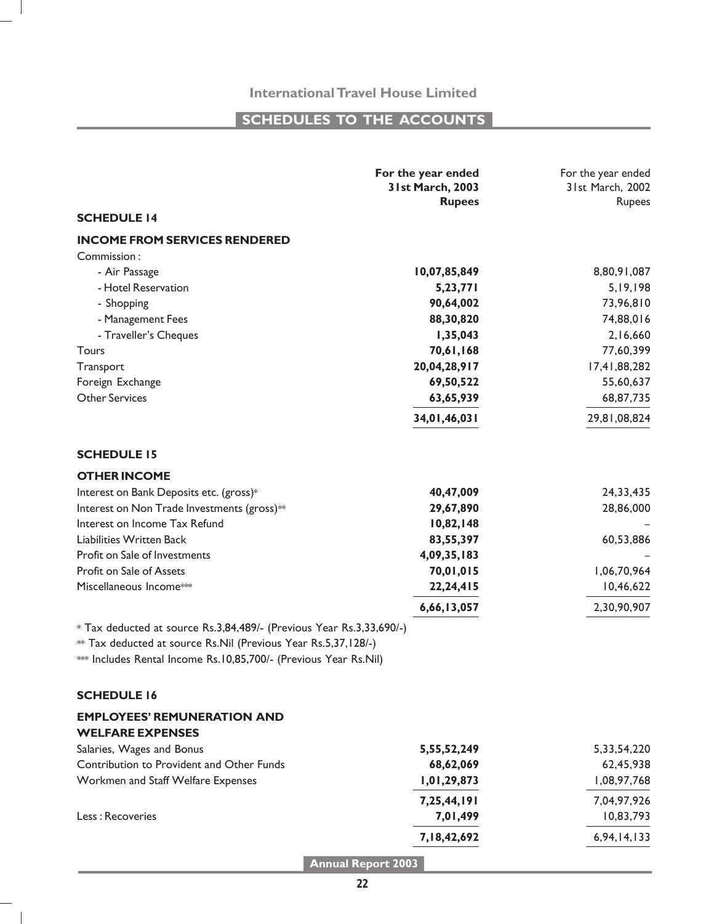|                                                                      | For the year ended<br>31st March, 2003<br><b>Rupees</b> | For the year ended<br>31st March, 2002<br><b>Rupees</b> |
|----------------------------------------------------------------------|---------------------------------------------------------|---------------------------------------------------------|
| <b>SCHEDULE 14</b>                                                   |                                                         |                                                         |
| <b>INCOME FROM SERVICES RENDERED</b>                                 |                                                         |                                                         |
| Commission:                                                          |                                                         |                                                         |
| - Air Passage                                                        | 10,07,85,849                                            | 8,80,91,087                                             |
| - Hotel Reservation                                                  | 5,23,771                                                | 5, 19, 198                                              |
| - Shopping                                                           | 90,64,002                                               | 73,96,810                                               |
| - Management Fees                                                    | 88,30,820                                               | 74,88,016                                               |
| - Traveller's Cheques                                                | 1,35,043                                                | 2,16,660                                                |
| Tours                                                                | 70,61,168                                               | 77,60,399                                               |
| Transport                                                            | 20,04,28,917                                            | 17,41,88,282                                            |
| Foreign Exchange                                                     | 69,50,522                                               | 55,60,637                                               |
| <b>Other Services</b>                                                | 63,65,939                                               | 68,87,735                                               |
|                                                                      | 34,01,46,031                                            | 29,81,08,824                                            |
| <b>SCHEDULE 15</b>                                                   |                                                         |                                                         |
| <b>OTHER INCOME</b>                                                  |                                                         |                                                         |
| Interest on Bank Deposits etc. (gross)*                              | 40,47,009                                               | 24, 33, 435                                             |
| Interest on Non Trade Investments (gross)**                          | 29,67,890                                               | 28,86,000                                               |
| Interest on Income Tax Refund                                        | 10,82,148                                               |                                                         |
| Liabilities Written Back                                             | 83,55,397                                               | 60,53,886                                               |
| Profit on Sale of Investments                                        | 4,09,35,183                                             |                                                         |
| Profit on Sale of Assets                                             | 70,01,015                                               | 1,06,70,964                                             |
| Miscellaneous Income***                                              | 22, 24, 415                                             | 10,46,622                                               |
|                                                                      | 6,66,13,057                                             | 2,30,90,907                                             |
| * Tax deducted at source Rs.3,84,489/- (Previous Year Rs.3,33,690/-) |                                                         |                                                         |
| ** Tax deducted at source Rs.Nil (Previous Year Rs.5,37,128/-)       |                                                         |                                                         |
| ** Includes Rental Income Rs.10,85,700/- (Previous Year Rs.Nil)      |                                                         |                                                         |
| <b>SCHEDULE 16</b>                                                   |                                                         |                                                         |
| <b>EMPLOYEES' REMUNERATION AND</b><br><b>WELFARE EXPENSES</b>        |                                                         |                                                         |
| Salaries, Wages and Bonus                                            | 5,55,52,249                                             | 5,33,54,220                                             |
| Contribution to Provident and Other Funds                            | 68,62,069                                               | 62,45,938                                               |
| Workmen and Staff Welfare Expenses                                   | 1,01,29,873                                             | 1,08,97,768                                             |
|                                                                      | 7,25,44,191                                             | 7,04,97,926                                             |
| Less: Recoveries                                                     | 7,01,499                                                | 10,83,793                                               |
|                                                                      | 7,18,42,692                                             | 6,94,14,133                                             |
|                                                                      | <b>Annual Report 2003</b>                               |                                                         |

 $\sim$  1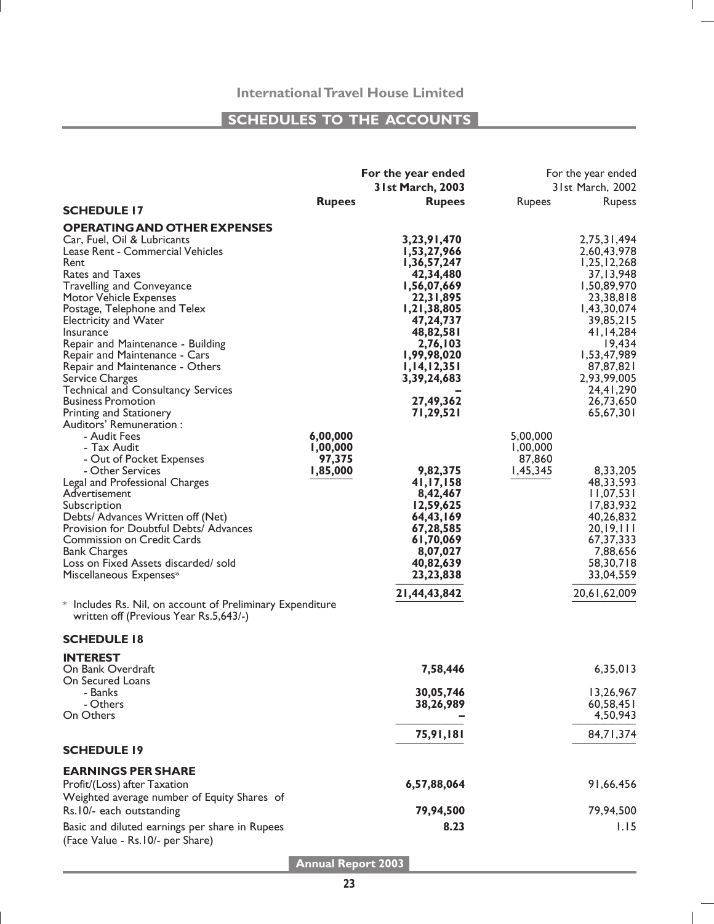$\overline{\phantom{a}}$ 

 $\overline{\phantom{a}}$ 

# SCHEDULES TO THE ACCOUNTS

|                                                                                                     | For the year ended |                            | For the year ended |                       |
|-----------------------------------------------------------------------------------------------------|--------------------|----------------------------|--------------------|-----------------------|
|                                                                                                     |                    | 31st March, 2003           |                    | 31st March, 2002      |
| <b>SCHEDULE 17</b>                                                                                  | <b>Rupees</b>      | <b>Rupees</b>              | <b>Rupees</b>      | <b>Rupess</b>         |
|                                                                                                     |                    |                            |                    |                       |
| <b>OPERATING AND OTHER EXPENSES</b>                                                                 |                    |                            |                    | 2,75,31,494           |
| Car, Fuel, Oil & Lubricants<br>Lease Rent - Commercial Vehicles                                     |                    | 3,23,91,470<br>1,53,27,966 |                    | 2,60,43,978           |
| Rent                                                                                                |                    | 1,36,57,247                |                    | 1,25,12,268           |
| Rates and Taxes                                                                                     |                    | 42,34,480                  |                    | 37,13,948             |
| <b>Travelling and Conveyance</b>                                                                    |                    | 1,56,07,669                |                    | 1,50,89,970           |
| <b>Motor Vehicle Expenses</b>                                                                       |                    | 22,31,895                  |                    | 23,38,818             |
| Postage, Telephone and Telex                                                                        |                    | 1,21,38,805                |                    | 1,43,30,074           |
| <b>Electricity and Water</b>                                                                        |                    | 47,24,737                  |                    | 39,85,215             |
| Insurance                                                                                           |                    | 48,82,581                  |                    | 41,14,284             |
| Repair and Maintenance - Building<br>Repair and Maintenance - Cars                                  |                    | 2,76,103<br>1,99,98,020    |                    | 19,434<br>1,53,47,989 |
| Repair and Maintenance - Others                                                                     |                    | 1,14,12,351                |                    | 87,87,821             |
| Service Charges                                                                                     |                    | 3, 39, 24, 683             |                    | 2,93,99,005           |
| <b>Technical and Consultancy Services</b>                                                           |                    |                            |                    | 24,41,290             |
| <b>Business Promotion</b>                                                                           |                    | 27,49,362                  |                    | 26,73,650             |
| Printing and Stationery                                                                             |                    | 71,29,521                  |                    | 65,67,301             |
| Auditors' Remuneration :                                                                            |                    |                            |                    |                       |
| - Audit Fees                                                                                        | 6,00,000           |                            | 5,00,000           |                       |
| - Tax Audit<br>- Out of Pocket Expenses                                                             | 1,00,000<br>97,375 |                            | 1,00,000<br>87,860 |                       |
| - Other Services                                                                                    | 1,85,000           | 9,82,375                   | 1,45,345           | 8,33,205              |
| Legal and Professional Charges                                                                      |                    | 41,17,158                  |                    | 48, 33, 593           |
| Advertisement                                                                                       |                    | 8,42,467                   |                    | 11,07,531             |
| Subscription                                                                                        |                    | 12,59,625                  |                    | 17,83,932             |
| Debts/ Advances Written off (Net)                                                                   |                    | 64,43,169                  |                    | 40,26,832             |
| Provision for Doubtful Debts/ Advances                                                              |                    | 67,28,585                  |                    | 20, 19, 111           |
| Commission on Credit Cards                                                                          |                    | 61,70,069                  |                    | 67, 37, 333           |
| <b>Bank Charges</b><br>Loss on Fixed Assets discarded/sold                                          |                    | 8,07,027<br>40,82,639      |                    | 7,88,656<br>58,30,718 |
| Miscellaneous Expenses*                                                                             |                    | 23, 23, 838                |                    | 33,04,559             |
|                                                                                                     |                    |                            |                    |                       |
|                                                                                                     |                    | 21,44,43,842               |                    | 20,61,62,009          |
| * Includes Rs. Nil, on account of Preliminary Expenditure<br>written off (Previous Year Rs.5,643/-) |                    |                            |                    |                       |
| <b>SCHEDULE 18</b>                                                                                  |                    |                            |                    |                       |
| <b>INTEREST</b>                                                                                     |                    |                            |                    |                       |
| On Bank Overdraft                                                                                   |                    | 7,58,446                   |                    | 6,35,013              |
| On Secured Loans                                                                                    |                    |                            |                    |                       |
| - Banks                                                                                             |                    | 30,05,746                  |                    | 13,26,967             |
| - Others<br>On Others                                                                               |                    | 38,26,989                  |                    | 60,58,451<br>4,50,943 |
|                                                                                                     |                    |                            |                    |                       |
| <b>SCHEDULE 19</b>                                                                                  |                    | 75,91,181                  |                    | 84,71,374             |
|                                                                                                     |                    |                            |                    |                       |
| <b>EARNINGS PER SHARE</b>                                                                           |                    |                            |                    |                       |
| Profit/(Loss) after Taxation                                                                        |                    | 6,57,88,064                |                    | 91,66,456             |
| Weighted average number of Equity Shares of                                                         |                    |                            |                    |                       |
| Rs.10/- each outstanding                                                                            |                    | 79,94,500                  |                    | 79,94,500             |
| Basic and diluted earnings per share in Rupees<br>(Face Value - Rs.10/- per Share)                  |                    | 8.23                       |                    | 1.15                  |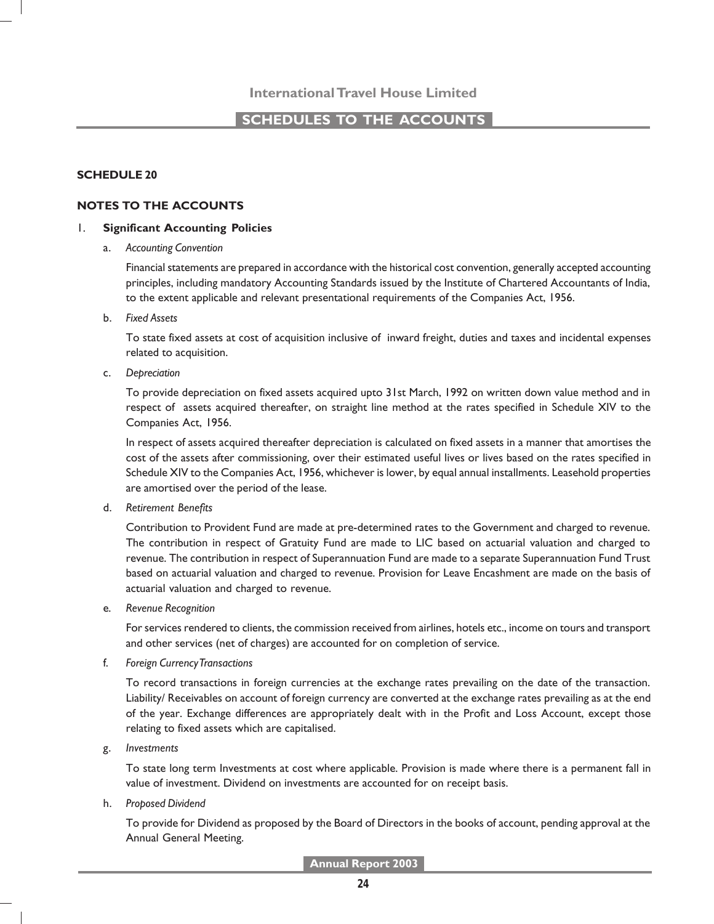### SCHEDULE 20

#### NOTES TO THE ACCOUNTS

#### 1. Significant Accounting Policies

a. Accounting Convention

Financial statements are prepared in accordance with the historical cost convention, generally accepted accounting principles, including mandatory Accounting Standards issued by the Institute of Chartered Accountants of India, to the extent applicable and relevant presentational requirements of the Companies Act, 1956.

b. Fixed Assets

To state fixed assets at cost of acquisition inclusive of inward freight, duties and taxes and incidental expenses related to acquisition.

c. Depreciation

To provide depreciation on fixed assets acquired upto 31st March, 1992 on written down value method and in respect of assets acquired thereafter, on straight line method at the rates specified in Schedule XIV to the Companies Act, 1956.

In respect of assets acquired thereafter depreciation is calculated on fixed assets in a manner that amortises the cost of the assets after commissioning, over their estimated useful lives or lives based on the rates specified in Schedule XIV to the Companies Act, 1956, whichever is lower, by equal annual installments. Leasehold properties are amortised over the period of the lease.

d. Retirement Benefits

Contribution to Provident Fund are made at pre-determined rates to the Government and charged to revenue. The contribution in respect of Gratuity Fund are made to LIC based on actuarial valuation and charged to revenue. The contribution in respect of Superannuation Fund are made to a separate Superannuation Fund Trust based on actuarial valuation and charged to revenue. Provision for Leave Encashment are made on the basis of actuarial valuation and charged to revenue.

e. Revenue Recognition

For services rendered to clients, the commission received from airlines, hotels etc., income on tours and transport and other services (net of charges) are accounted for on completion of service.

f. Foreign CurrencyTransactions

To record transactions in foreign currencies at the exchange rates prevailing on the date of the transaction. Liability/ Receivables on account of foreign currency are converted at the exchange rates prevailing as at the end of the year. Exchange differences are appropriately dealt with in the Profit and Loss Account, except those relating to fixed assets which are capitalised.

g. Investments

To state long term Investments at cost where applicable. Provision is made where there is a permanent fall in value of investment. Dividend on investments are accounted for on receipt basis.

h. Proposed Dividend

To provide for Dividend as proposed by the Board of Directors in the books of account, pending approval at the Annual General Meeting.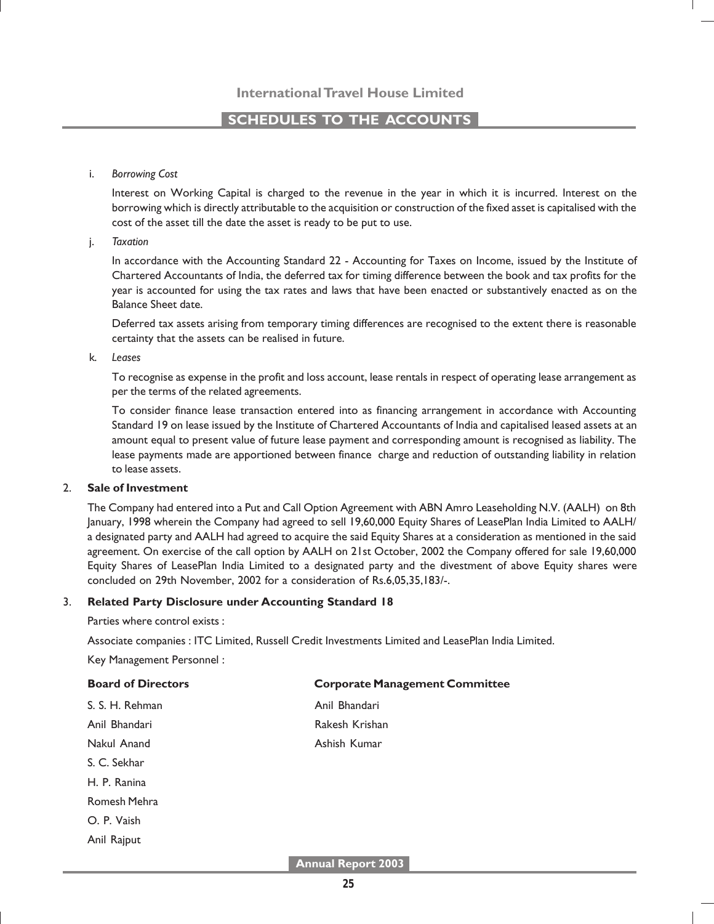i. Borrowing Cost

Interest on Working Capital is charged to the revenue in the year in which it is incurred. Interest on the borrowing which is directly attributable to the acquisition or construction of the fixed asset is capitalised with the cost of the asset till the date the asset is ready to be put to use.

j. Taxation

In accordance with the Accounting Standard 22 - Accounting for Taxes on Income, issued by the Institute of Chartered Accountants of India, the deferred tax for timing difference between the book and tax profits for the year is accounted for using the tax rates and laws that have been enacted or substantively enacted as on the Balance Sheet date.

Deferred tax assets arising from temporary timing differences are recognised to the extent there is reasonable certainty that the assets can be realised in future.

k. Leases

To recognise as expense in the profit and loss account, lease rentals in respect of operating lease arrangement as per the terms of the related agreements.

To consider finance lease transaction entered into as financing arrangement in accordance with Accounting Standard 19 on lease issued by the Institute of Chartered Accountants of India and capitalised leased assets at an amount equal to present value of future lease payment and corresponding amount is recognised as liability. The lease payments made are apportioned between finance charge and reduction of outstanding liability in relation to lease assets.

#### 2. Sale of Investment

The Company had entered into a Put and Call Option Agreement with ABN Amro Leaseholding N.V. (AALH) on 8th January, 1998 wherein the Company had agreed to sell 19,60,000 Equity Shares of LeasePlan India Limited to AALH/ a designated party and AALH had agreed to acquire the said Equity Shares at a consideration as mentioned in the said agreement. On exercise of the call option by AALH on 21st October, 2002 the Company offered for sale 19,60,000 Equity Shares of LeasePlan India Limited to a designated party and the divestment of above Equity shares were concluded on 29th November, 2002 for a consideration of Rs.6,05,35,183/-.

#### 3. Related Party Disclosure under Accounting Standard 18

Parties where control exists :

Associate companies : ITC Limited, Russell Credit Investments Limited and LeasePlan India Limited.

Key Management Personnel :

| <b>Board of Directors</b> | <b>Corporate Management Committee</b> |
|---------------------------|---------------------------------------|
| S. S. H. Rehman           | Anil Bhandari                         |
| Anil Bhandari             | Rakesh Krishan                        |
| Nakul Anand               | Ashish Kumar                          |
| S. C. Sekhar              |                                       |
| H. P. Ranina              |                                       |
| Romesh Mehra              |                                       |
| O. P. Vaish               |                                       |
| Anil Rajput               |                                       |
|                           |                                       |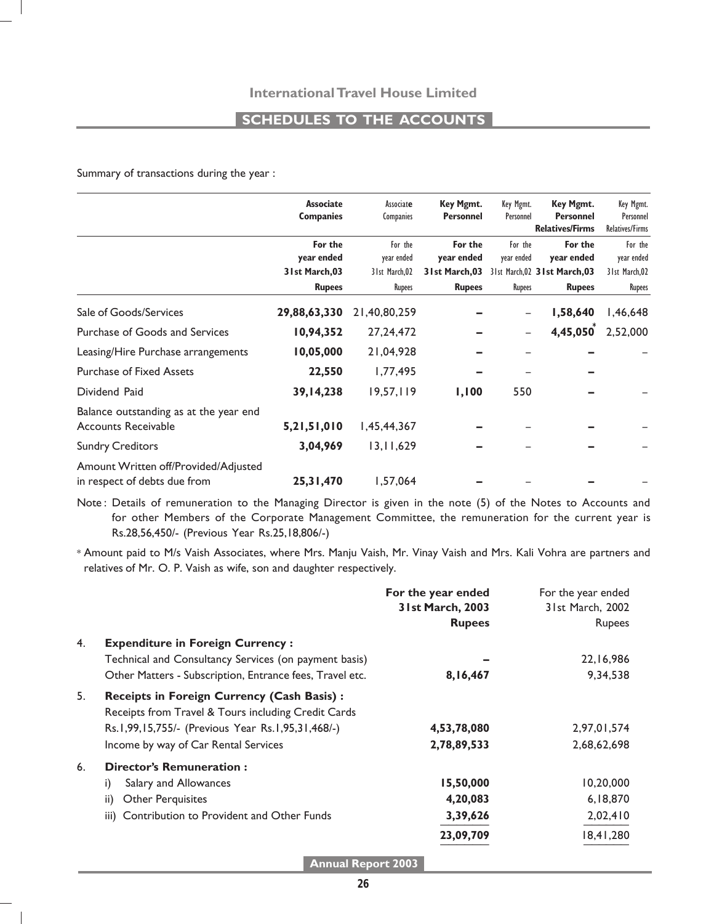Summary of transactions during the year :

|                                        | <b>Associate</b><br><b>Companies</b> | Associate<br>Companies | Key Mgmt.<br><b>Personnel</b> | Key Mgmt.<br>Personnel | <b>Key Mgmt.</b><br><b>Personnel</b><br><b>Relatives/Firms</b> | Key Mgmt.<br>Personnel<br><b>Relatives/Firms</b> |
|----------------------------------------|--------------------------------------|------------------------|-------------------------------|------------------------|----------------------------------------------------------------|--------------------------------------------------|
|                                        | For the                              | For the                | For the                       | For the                | For the                                                        | For the                                          |
|                                        | year ended                           | year ended             | year ended                    | year ended             | year ended                                                     | year ended                                       |
|                                        | 31st March,03                        | 31st March, 02         | 3 Ist March, 03               |                        | 31st March, 02 31st March, 03                                  | 31st March, 02                                   |
|                                        | <b>Rupees</b>                        | Rupees                 | <b>Rupees</b>                 | Rupees                 | <b>Rupees</b>                                                  | Rupees                                           |
| Sale of Goods/Services                 | 29,88,63,330                         | 21,40,80,259           |                               |                        | 1,58,640                                                       | 1,46,648                                         |
| <b>Purchase of Goods and Services</b>  | 10,94,352                            | 27, 24, 472            |                               |                        | 4,45,050                                                       | 2,52,000                                         |
| Leasing/Hire Purchase arrangements     | 10,05,000                            | 21,04,928              |                               |                        |                                                                |                                                  |
| <b>Purchase of Fixed Assets</b>        | 22,550                               | 1,77,495               |                               |                        |                                                                |                                                  |
| Dividend Paid                          | 39,14,238                            | 19,57,119              | 1,100                         | 550                    |                                                                |                                                  |
| Balance outstanding as at the year end |                                      |                        |                               |                        |                                                                |                                                  |
| <b>Accounts Receivable</b>             | 5,21,51,010                          | 1,45,44,367            |                               |                        |                                                                |                                                  |
| <b>Sundry Creditors</b>                | 3,04,969                             | 13, 11, 629            |                               |                        |                                                                |                                                  |
| Amount Written off/Provided/Adjusted   |                                      |                        |                               |                        |                                                                |                                                  |
| in respect of debts due from           | 25, 31, 470                          | 1,57,064               |                               |                        |                                                                |                                                  |

Note : Details of remuneration to the Managing Director is given in the note (5) of the Notes to Accounts and for other Members of the Corporate Management Committee, the remuneration for the current year is Rs.28,56,450/- (Previous Year Rs.25,18,806/-)

\* Amount paid to M/s Vaish Associates, where Mrs. Manju Vaish, Mr. Vinay Vaish and Mrs. Kali Vohra are partners and relatives of Mr. O. P. Vaish as wife, son and daughter respectively.

|    |                                                          | For the year ended | For the year ended |
|----|----------------------------------------------------------|--------------------|--------------------|
|    |                                                          | 31st March, 2003   | 31st March, 2002   |
|    |                                                          | <b>Rupees</b>      | <b>Rupees</b>      |
| 4. | <b>Expenditure in Foreign Currency:</b>                  |                    |                    |
|    | Technical and Consultancy Services (on payment basis)    |                    | 22,16,986          |
|    | Other Matters - Subscription, Entrance fees, Travel etc. | 8,16,467           | 9,34,538           |
| 5. | Receipts in Foreign Currency (Cash Basis) :              |                    |                    |
|    | Receipts from Travel & Tours including Credit Cards      |                    |                    |
|    | Rs.1,99,15,755/- (Previous Year Rs.1,95,31,468/-)        | 4,53,78,080        | 2,97,01,574        |
|    | Income by way of Car Rental Services                     | 2,78,89,533        | 2,68,62,698        |
| 6. | <b>Director's Remuneration:</b>                          |                    |                    |
|    | i)<br>Salary and Allowances                              | 15,50,000          | 10,20,000          |
|    | <b>Other Perquisites</b><br>ii)                          | 4,20,083           | 6,18,870           |
|    | iii) Contribution to Provident and Other Funds           | 3,39,626           | 2,02,410           |
|    |                                                          | 23,09,709          | 18,41,280          |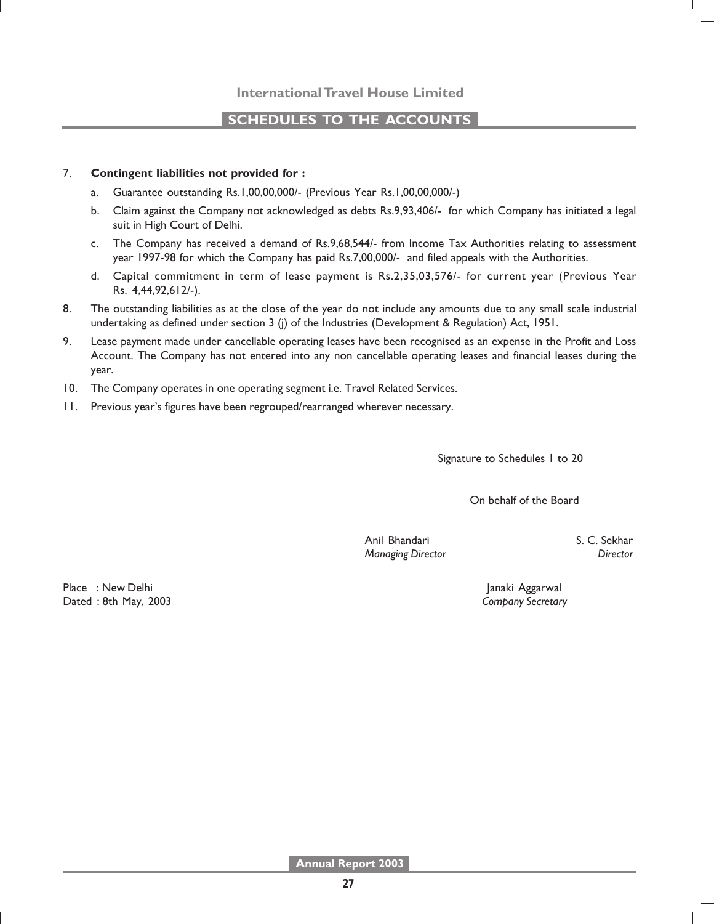# SCHEDULES TO THE ACCOUNTS

#### 7. Contingent liabilities not provided for :

- a. Guarantee outstanding Rs.1,00,00,000/- (Previous Year Rs.1,00,00,000/-)
- b. Claim against the Company not acknowledged as debts Rs.9,93,406/- for which Company has initiated a legal suit in High Court of Delhi.
- c. The Company has received a demand of Rs.9,68,544/- from Income Tax Authorities relating to assessment year 1997-98 for which the Company has paid Rs.7,00,000/- and filed appeals with the Authorities.
- d. Capital commitment in term of lease payment is Rs.2,35,03,576/- for current year (Previous Year Rs. 4,44,92,612/-).
- 8. The outstanding liabilities as at the close of the year do not include any amounts due to any small scale industrial undertaking as defined under section 3 (j) of the Industries (Development & Regulation) Act, 1951.
- 9. Lease payment made under cancellable operating leases have been recognised as an expense in the Profit and Loss Account. The Company has not entered into any non cancellable operating leases and financial leases during the year.
- 10. The Company operates in one operating segment i.e. Travel Related Services.
- 11. Previous yearís figures have been regrouped/rearranged wherever necessary.

Signature to Schedules 1 to 20

On behalf of the Board

Anil Bhandari S. C. Sekhar Managing Director **Director** Director

Place : New Delhi Janaki Aggarwal Janaki Aggarwal Janaki Aggarwal Janaki Aggarwal Janaki Aggarwal Janaki Aggarwal Janaki Aggarwal Janaki Aggarwal Janaki Aggarwal Janaki Aggarwal Janaki Aggarwal Janaki Aggarwal Janaki Aggar Dated : 8th May, 2003 Company Secretary and Dated States and Dated States and Dated States and Dated States and Dated States and Dated States and Dated States and Dated States and Dated States and Dated States and Dated St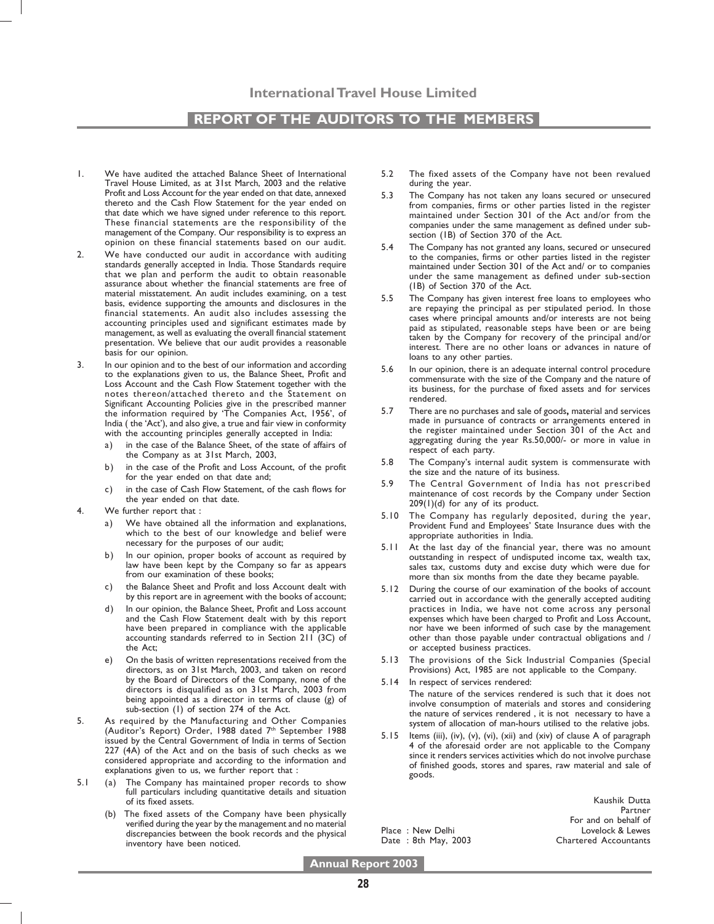### REPORT OF THE AUDITORS TO THE MEMBERS

- 1. We have audited the attached Balance Sheet of International Travel House Limited, as at 31st March, 2003 and the relative Profit and Loss Account for the year ended on that date, annexed thereto and the Cash Flow Statement for the year ended on that date which we have signed under reference to this report. These financial statements are the responsibility of the management of the Company. Our responsibility is to express an opinion on these financial statements based on our audit.
- 2. We have conducted our audit in accordance with auditing standards generally accepted in India. Those Standards require that we plan and perform the audit to obtain reasonable assurance about whether the financial statements are free of material misstatement. An audit includes examining, on a test basis, evidence supporting the amounts and disclosures in the financial statements. An audit also includes assessing the accounting principles used and significant estimates made by management, as well as evaluating the overall financial statement presentation. We believe that our audit provides a reasonable basis for our opinion.
- 3. In our opinion and to the best of our information and according to the explanations given to us, the Balance Sheet, Profit and Loss Account and the Cash Flow Statement together with the notes thereon/attached thereto and the Statement on Significant Accounting Policies give in the prescribed manner the information required by 'The Companies Act, 1956', of India (the 'Act'), and also give, a true and fair view in conformity with the accounting principles generally accepted in India:
	- a) in the case of the Balance Sheet, of the state of affairs of the Company as at 31st March, 2003,
	- b) in the case of the Profit and Loss Account, of the profit for the year ended on that date and;
	- c) in the case of Cash Flow Statement, of the cash flows for the year ended on that date.
- 4. We further report that :
	- a) We have obtained all the information and explanations, which to the best of our knowledge and belief were necessary for the purposes of our audit;
	- b) In our opinion, proper books of account as required by law have been kept by the Company so far as appears from our examination of these books;
	- c) the Balance Sheet and Profit and loss Account dealt with by this report are in agreement with the books of account;
	- d) In our opinion, the Balance Sheet, Profit and Loss account and the Cash Flow Statement dealt with by this report have been prepared in compliance with the applicable accounting standards referred to in Section 211 (3C) of the Act;
	- e) On the basis of written representations received from the directors, as on 31st March, 2003, and taken on record by the Board of Directors of the Company, none of the directors is disqualified as on 31st March, 2003 from being appointed as a director in terms of clause (g) of sub-section (1) of section 274 of the Act.
- 5. As required by the Manufacturing and Other Companies (Auditor's Report) Order, 1988 dated 7<sup>th</sup> September 1988 issued by the Central Government of India in terms of Section 227 (4A) of the Act and on the basis of such checks as we considered appropriate and according to the information and explanations given to us, we further report that :
- 5.1 (a) The Company has maintained proper records to show full particulars including quantitative details and situation of its fixed assets.
	- (b) The fixed assets of the Company have been physically verified during the year by the management and no material discrepancies between the book records and the physical inventory have been noticed.
- 5.2 The fixed assets of the Company have not been revalued during the year.
- 5.3 The Company has not taken any loans secured or unsecured from companies, firms or other parties listed in the register maintained under Section 301 of the Act and/or from the companies under the same management as defined under subsection (1B) of Section 370 of the Act.
- 5.4 The Company has not granted any loans, secured or unsecured to the companies, firms or other parties listed in the register maintained under Section 301 of the Act and/ or to companies under the same management as defined under sub-section (1B) of Section 370 of the Act.
- 5.5 The Company has given interest free loans to employees who are repaying the principal as per stipulated period. In those cases where principal amounts and/or interests are not being paid as stipulated, reasonable steps have been or are being taken by the Company for recovery of the principal and/or interest. There are no other loans or advances in nature of loans to any other parties.
- 5.6 In our opinion, there is an adequate internal control procedure commensurate with the size of the Company and the nature of its business, for the purchase of fixed assets and for services rendered.
- 5.7 There are no purchases and sale of goods, material and services made in pursuance of contracts or arrangements entered in the register maintained under Section 301 of the Act and aggregating during the year Rs.50,000/- or more in value in respect of each party.
- 5.8 The Companyís internal audit system is commensurate with the size and the nature of its business.
- 5.9 The Central Government of India has not prescribed maintenance of cost records by the Company under Section 209(1)(d) for any of its product.
- 5.10 The Company has regularly deposited, during the year, Provident Fund and Employees' State Insurance dues with the appropriate authorities in India.
- 5.11 At the last day of the financial year, there was no amount outstanding in respect of undisputed income tax, wealth tax, sales tax, customs duty and excise duty which were due for more than six months from the date they became payable.
- 5.12 During the course of our examination of the books of account carried out in accordance with the generally accepted auditing practices in India, we have not come across any personal expenses which have been charged to Profit and Loss Account, nor have we been informed of such case by the management other than those payable under contractual obligations and / or accepted business practices.
- 5.13 The provisions of the Sick Industrial Companies (Special Provisions) Act, 1985 are not applicable to the Company.
- 5.14 In respect of services rendered: The nature of the services rendered is such that it does not involve consumption of materials and stores and considering the nature of services rendered , it is not necessary to have a system of allocation of man-hours utilised to the relative jobs.
- 5.15 Items (iii), (iv), (v), (vi), (xii) and (xiv) of clause A of paragraph 4 of the aforesaid order are not applicable to the Company since it renders services activities which do not involve purchase of finished goods, stores and spares, raw material and sale of goods.

Place : New Delhi **Lovelock & Lewes** Date : 8th May, 2003 Chartered Accountants

Kaushik Dutta Partner For and on behalf of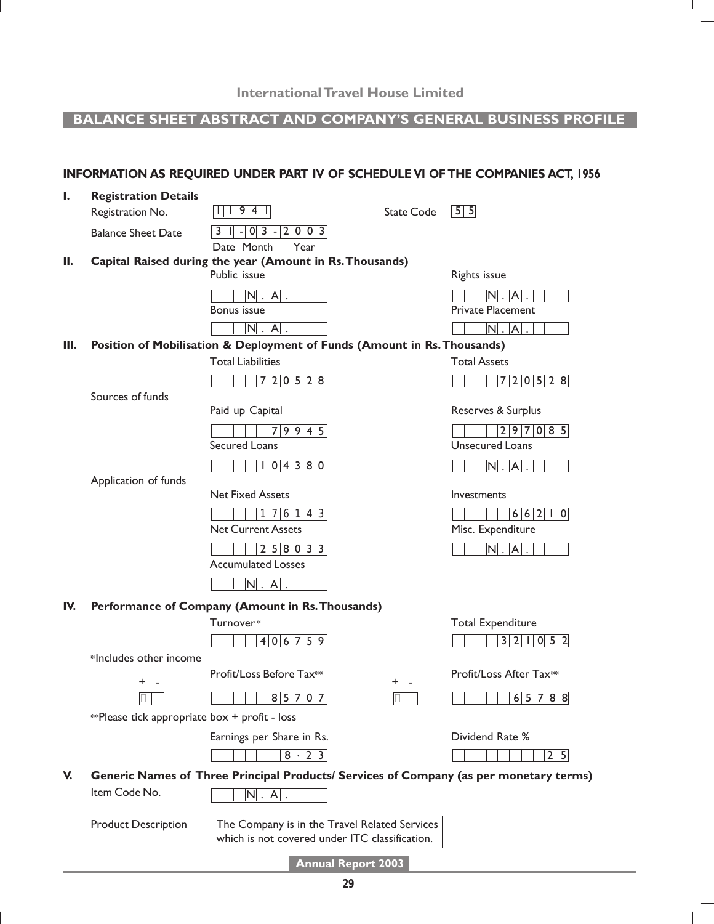$\overline{\phantom{a}}$ 

# BALANCE SHEET ABSTRACT AND COMPANY'S GENERAL BUSINESS PROFILE

# INFORMATION AS REQUIRED UNDER PART IV OF SCHEDULE VI OF THE COMPANIES ACT, 1956

| I.  | <b>Registration Details</b>                      |                                                                                        |                   |                          |  |  |  |  |
|-----|--------------------------------------------------|----------------------------------------------------------------------------------------|-------------------|--------------------------|--|--|--|--|
|     | Registration No.                                 | $\overline{1 9 4 1 }$                                                                  | <b>State Code</b> | 5 5                      |  |  |  |  |
|     | <b>Balance Sheet Date</b>                        | $-2003$<br>$0 \vert 3 \vert$                                                           |                   |                          |  |  |  |  |
|     |                                                  | Date Month<br>Year                                                                     |                   |                          |  |  |  |  |
| Н.  |                                                  | Capital Raised during the year (Amount in Rs. Thousands)                               |                   |                          |  |  |  |  |
|     |                                                  | Public issue                                                                           |                   | <b>Rights issue</b>      |  |  |  |  |
|     |                                                  | $ N $ . $ A $ .                                                                        |                   | $ A $ .<br>INI           |  |  |  |  |
|     |                                                  | <b>Bonus</b> issue                                                                     |                   | <b>Private Placement</b> |  |  |  |  |
|     |                                                  | $ \mathsf{N} \,$ . $ \mathsf{A} $ .                                                    |                   | $N$ . $A$ .              |  |  |  |  |
| Ш.  |                                                  | Position of Mobilisation & Deployment of Funds (Amount in Rs. Thousands)               |                   |                          |  |  |  |  |
|     |                                                  | <b>Total Liabilities</b>                                                               |                   | <b>Total Assets</b>      |  |  |  |  |
|     |                                                  | 7 2 0 5 2 8                                                                            |                   | 7 2 0 5 2 8              |  |  |  |  |
|     | Sources of funds                                 |                                                                                        |                   |                          |  |  |  |  |
|     |                                                  | Paid up Capital                                                                        |                   | Reserves & Surplus       |  |  |  |  |
|     |                                                  | 7 9 9 4 5                                                                              |                   | 2 9 7 0 8 5              |  |  |  |  |
|     |                                                  | <b>Secured Loans</b>                                                                   |                   | <b>Unsecured Loans</b>   |  |  |  |  |
|     |                                                  | 1 0 4 3 8 0                                                                            |                   | $N$ . $A$ .              |  |  |  |  |
|     | Application of funds                             |                                                                                        |                   |                          |  |  |  |  |
|     |                                                  | <b>Net Fixed Assets</b>                                                                |                   | Investments              |  |  |  |  |
|     |                                                  | 1 7 6 1 4 3                                                                            |                   | 6 6 2 1 0                |  |  |  |  |
|     |                                                  | <b>Net Current Assets</b>                                                              |                   | Misc. Expenditure        |  |  |  |  |
|     |                                                  | 2 5 8 0 3 3                                                                            |                   | $N$ .<br> A              |  |  |  |  |
|     |                                                  | <b>Accumulated Losses</b>                                                              |                   |                          |  |  |  |  |
|     |                                                  | $N$ . $A$                                                                              |                   |                          |  |  |  |  |
| IV. | Performance of Company (Amount in Rs. Thousands) |                                                                                        |                   |                          |  |  |  |  |
|     |                                                  | Turnover*                                                                              |                   | <b>Total Expenditure</b> |  |  |  |  |
|     |                                                  | 4 0 6 7 5 9                                                                            |                   | 3 2 1 0 5 2              |  |  |  |  |
|     | *Includes other income                           |                                                                                        |                   |                          |  |  |  |  |
|     |                                                  | Profit/Loss Before Tax**                                                               |                   | Profit/Loss After Tax**  |  |  |  |  |
|     | +                                                | 8 5 7 0 7                                                                              | ÷.                | 6 5 <br>7 8 8            |  |  |  |  |
|     |                                                  |                                                                                        |                   |                          |  |  |  |  |
|     | **Please tick appropriate box + profit - loss    |                                                                                        |                   |                          |  |  |  |  |
|     |                                                  | Earnings per Share in Rs.                                                              |                   | Dividend Rate %          |  |  |  |  |
|     |                                                  | $8 \cdot 2 \cdot 3$                                                                    |                   | 2 5                      |  |  |  |  |
| V.  |                                                  | Generic Names of Three Principal Products/ Services of Company (as per monetary terms) |                   |                          |  |  |  |  |
|     | Item Code No.                                    | $N$ . $A$ .                                                                            |                   |                          |  |  |  |  |
|     |                                                  |                                                                                        |                   |                          |  |  |  |  |
|     | <b>Product Description</b>                       | The Company is in the Travel Related Services                                          |                   |                          |  |  |  |  |
|     | which is not covered under ITC classification.   |                                                                                        |                   |                          |  |  |  |  |
|     |                                                  |                                                                                        |                   |                          |  |  |  |  |